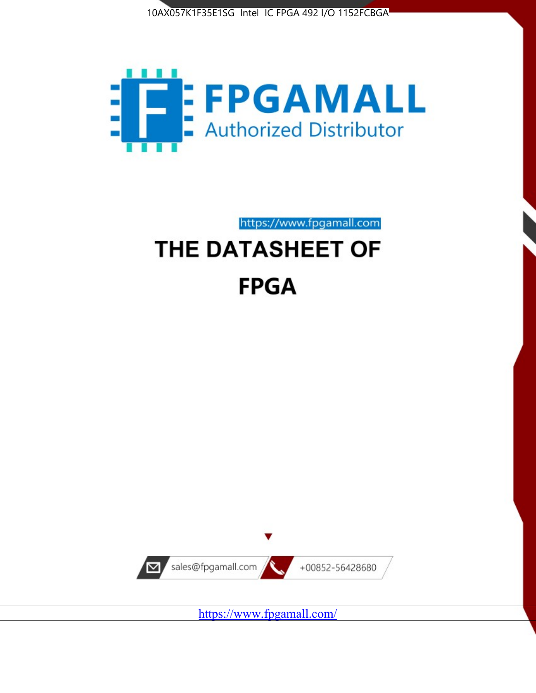



https://www.fpgamall.com

# THE DATASHEET OF **FPGA**



<https://www.fpgamall.com/>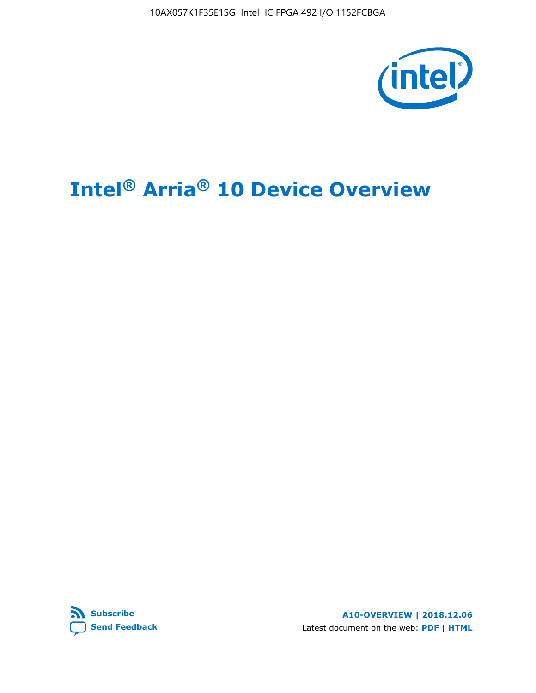10AX057K1F35E1SG Intel IC FPGA 492 I/O 1152FCBGA



# **Intel® Arria® 10 Device Overview**



**A10-OVERVIEW | 2018.12.06** Latest document on the web: **[PDF](https://www.intel.com/content/dam/www/programmable/us/en/pdfs/literature/hb/arria-10/a10_overview.pdf)** | **[HTML](https://www.intel.com/content/www/us/en/programmable/documentation/sam1403480274650.html)**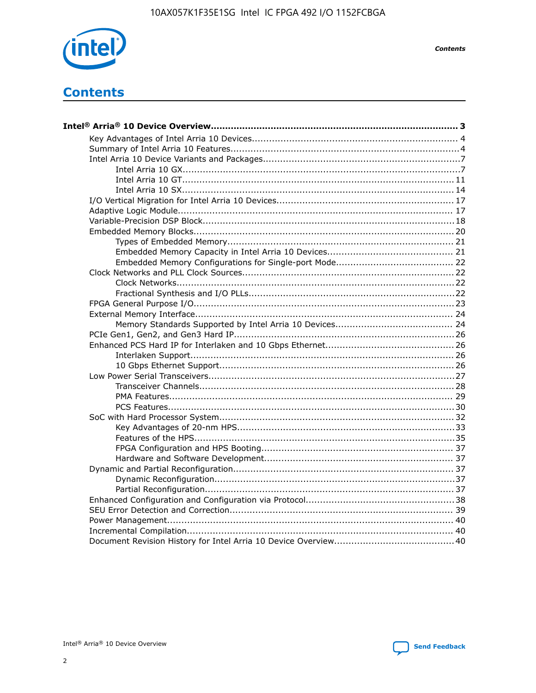

**Contents** 

# **Contents**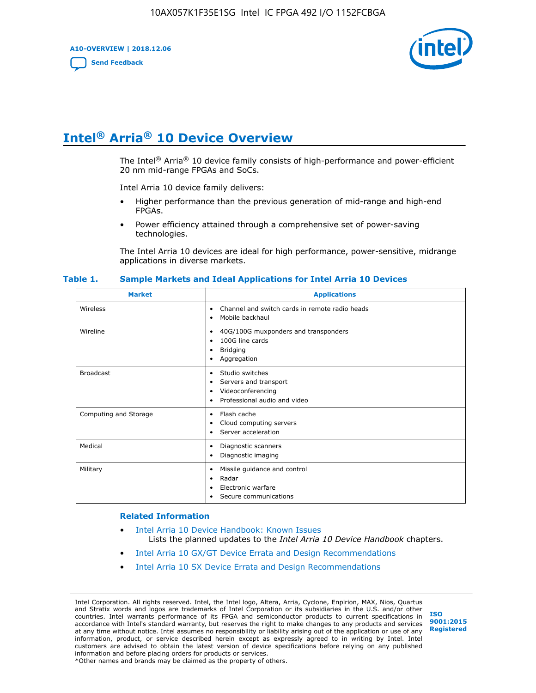**A10-OVERVIEW | 2018.12.06**

**[Send Feedback](mailto:FPGAtechdocfeedback@intel.com?subject=Feedback%20on%20Intel%20Arria%2010%20Device%20Overview%20(A10-OVERVIEW%202018.12.06)&body=We%20appreciate%20your%20feedback.%20In%20your%20comments,%20also%20specify%20the%20page%20number%20or%20paragraph.%20Thank%20you.)**



# **Intel® Arria® 10 Device Overview**

The Intel<sup>®</sup> Arria<sup>®</sup> 10 device family consists of high-performance and power-efficient 20 nm mid-range FPGAs and SoCs.

Intel Arria 10 device family delivers:

- Higher performance than the previous generation of mid-range and high-end FPGAs.
- Power efficiency attained through a comprehensive set of power-saving technologies.

The Intel Arria 10 devices are ideal for high performance, power-sensitive, midrange applications in diverse markets.

| <b>Market</b>         | <b>Applications</b>                                                                                               |
|-----------------------|-------------------------------------------------------------------------------------------------------------------|
| Wireless              | Channel and switch cards in remote radio heads<br>٠<br>Mobile backhaul<br>٠                                       |
| Wireline              | 40G/100G muxponders and transponders<br>٠<br>100G line cards<br>٠<br><b>Bridging</b><br>٠<br>Aggregation<br>٠     |
| <b>Broadcast</b>      | Studio switches<br>٠<br>Servers and transport<br>٠<br>Videoconferencing<br>٠<br>Professional audio and video<br>٠ |
| Computing and Storage | Flash cache<br>٠<br>Cloud computing servers<br>٠<br>Server acceleration<br>٠                                      |
| Medical               | Diagnostic scanners<br>٠<br>Diagnostic imaging<br>٠                                                               |
| Military              | Missile guidance and control<br>٠<br>Radar<br>٠<br>Electronic warfare<br>٠<br>Secure communications<br>٠          |

#### **Table 1. Sample Markets and Ideal Applications for Intel Arria 10 Devices**

#### **Related Information**

- [Intel Arria 10 Device Handbook: Known Issues](http://www.altera.com/support/kdb/solutions/rd07302013_646.html) Lists the planned updates to the *Intel Arria 10 Device Handbook* chapters.
- [Intel Arria 10 GX/GT Device Errata and Design Recommendations](https://www.intel.com/content/www/us/en/programmable/documentation/agz1493851706374.html#yqz1494433888646)
- [Intel Arria 10 SX Device Errata and Design Recommendations](https://www.intel.com/content/www/us/en/programmable/documentation/cru1462832385668.html#cru1462832558642)

Intel Corporation. All rights reserved. Intel, the Intel logo, Altera, Arria, Cyclone, Enpirion, MAX, Nios, Quartus and Stratix words and logos are trademarks of Intel Corporation or its subsidiaries in the U.S. and/or other countries. Intel warrants performance of its FPGA and semiconductor products to current specifications in accordance with Intel's standard warranty, but reserves the right to make changes to any products and services at any time without notice. Intel assumes no responsibility or liability arising out of the application or use of any information, product, or service described herein except as expressly agreed to in writing by Intel. Intel customers are advised to obtain the latest version of device specifications before relying on any published information and before placing orders for products or services. \*Other names and brands may be claimed as the property of others.

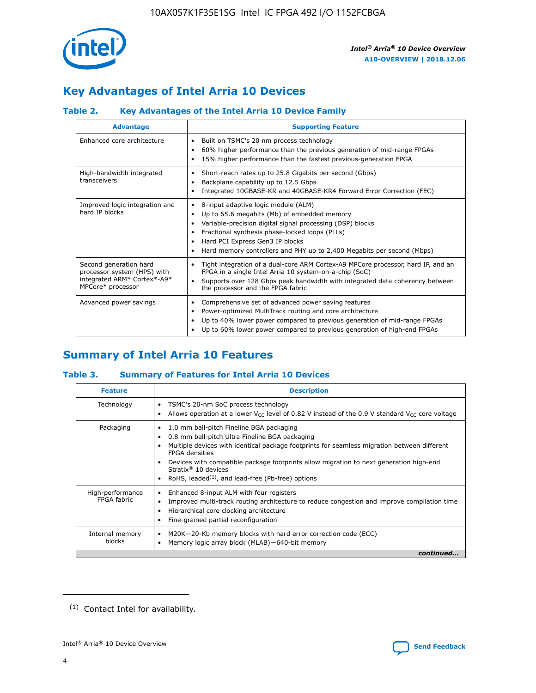

# **Key Advantages of Intel Arria 10 Devices**

## **Table 2. Key Advantages of the Intel Arria 10 Device Family**

| <b>Advantage</b>                                                                                          | <b>Supporting Feature</b>                                                                                                                                                                                                                                                                                                |
|-----------------------------------------------------------------------------------------------------------|--------------------------------------------------------------------------------------------------------------------------------------------------------------------------------------------------------------------------------------------------------------------------------------------------------------------------|
| Enhanced core architecture                                                                                | Built on TSMC's 20 nm process technology<br>٠<br>60% higher performance than the previous generation of mid-range FPGAs<br>٠<br>15% higher performance than the fastest previous-generation FPGA<br>٠                                                                                                                    |
| High-bandwidth integrated<br>transceivers                                                                 | Short-reach rates up to 25.8 Gigabits per second (Gbps)<br>٠<br>Backplane capability up to 12.5 Gbps<br>٠<br>Integrated 10GBASE-KR and 40GBASE-KR4 Forward Error Correction (FEC)<br>٠                                                                                                                                   |
| Improved logic integration and<br>hard IP blocks                                                          | 8-input adaptive logic module (ALM)<br>٠<br>Up to 65.6 megabits (Mb) of embedded memory<br>٠<br>Variable-precision digital signal processing (DSP) blocks<br>Fractional synthesis phase-locked loops (PLLs)<br>Hard PCI Express Gen3 IP blocks<br>Hard memory controllers and PHY up to 2,400 Megabits per second (Mbps) |
| Second generation hard<br>processor system (HPS) with<br>integrated ARM* Cortex*-A9*<br>MPCore* processor | Tight integration of a dual-core ARM Cortex-A9 MPCore processor, hard IP, and an<br>٠<br>FPGA in a single Intel Arria 10 system-on-a-chip (SoC)<br>Supports over 128 Gbps peak bandwidth with integrated data coherency between<br>$\bullet$<br>the processor and the FPGA fabric                                        |
| Advanced power savings                                                                                    | Comprehensive set of advanced power saving features<br>٠<br>Power-optimized MultiTrack routing and core architecture<br>٠<br>Up to 40% lower power compared to previous generation of mid-range FPGAs<br>Up to 60% lower power compared to previous generation of high-end FPGAs                                         |

# **Summary of Intel Arria 10 Features**

## **Table 3. Summary of Features for Intel Arria 10 Devices**

| <b>Feature</b>                  | <b>Description</b>                                                                                                                                                                                                                                                                                                                                                                                       |
|---------------------------------|----------------------------------------------------------------------------------------------------------------------------------------------------------------------------------------------------------------------------------------------------------------------------------------------------------------------------------------------------------------------------------------------------------|
| Technology                      | TSMC's 20-nm SoC process technology<br>٠<br>Allows operation at a lower $V_{\text{CC}}$ level of 0.82 V instead of the 0.9 V standard $V_{\text{CC}}$ core voltage                                                                                                                                                                                                                                       |
| Packaging                       | 1.0 mm ball-pitch Fineline BGA packaging<br>0.8 mm ball-pitch Ultra Fineline BGA packaging<br>Multiple devices with identical package footprints for seamless migration between different<br><b>FPGA</b> densities<br>Devices with compatible package footprints allow migration to next generation high-end<br>Stratix $\mathcal{R}$ 10 devices<br>RoHS, leaded $(1)$ , and lead-free (Pb-free) options |
| High-performance<br>FPGA fabric | Enhanced 8-input ALM with four registers<br>٠<br>Improved multi-track routing architecture to reduce congestion and improve compilation time<br>Hierarchical core clocking architecture<br>Fine-grained partial reconfiguration                                                                                                                                                                          |
| Internal memory<br>blocks       | M20K-20-Kb memory blocks with hard error correction code (ECC)<br>Memory logic array block (MLAB)-640-bit memory                                                                                                                                                                                                                                                                                         |
|                                 | continued                                                                                                                                                                                                                                                                                                                                                                                                |



<sup>(1)</sup> Contact Intel for availability.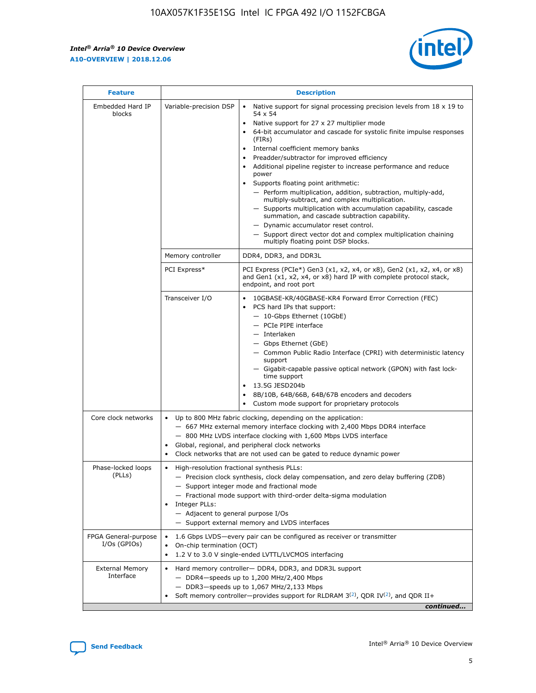$\mathbf{r}$ 



| <b>Feature</b>                         | <b>Description</b>                                                                                             |                                                                                                                                                                                                                                                                                                                                                                                                                                                                                                                                                                                                                                                                                                                                                                                                                                                                  |  |  |  |  |  |
|----------------------------------------|----------------------------------------------------------------------------------------------------------------|------------------------------------------------------------------------------------------------------------------------------------------------------------------------------------------------------------------------------------------------------------------------------------------------------------------------------------------------------------------------------------------------------------------------------------------------------------------------------------------------------------------------------------------------------------------------------------------------------------------------------------------------------------------------------------------------------------------------------------------------------------------------------------------------------------------------------------------------------------------|--|--|--|--|--|
| Embedded Hard IP<br>blocks             | Variable-precision DSP                                                                                         | Native support for signal processing precision levels from $18 \times 19$ to<br>$\bullet$<br>54 x 54<br>Native support for 27 x 27 multiplier mode<br>$\bullet$<br>64-bit accumulator and cascade for systolic finite impulse responses<br>(FIRs)<br>Internal coefficient memory banks<br>$\bullet$<br>Preadder/subtractor for improved efficiency<br>Additional pipeline register to increase performance and reduce<br>power<br>Supports floating point arithmetic:<br>- Perform multiplication, addition, subtraction, multiply-add,<br>multiply-subtract, and complex multiplication.<br>- Supports multiplication with accumulation capability, cascade<br>summation, and cascade subtraction capability.<br>- Dynamic accumulator reset control.<br>- Support direct vector dot and complex multiplication chaining<br>multiply floating point DSP blocks. |  |  |  |  |  |
|                                        | Memory controller                                                                                              | DDR4, DDR3, and DDR3L                                                                                                                                                                                                                                                                                                                                                                                                                                                                                                                                                                                                                                                                                                                                                                                                                                            |  |  |  |  |  |
|                                        | PCI Express*                                                                                                   | PCI Express (PCIe*) Gen3 (x1, x2, x4, or x8), Gen2 (x1, x2, x4, or x8)<br>and Gen1 (x1, x2, x4, or x8) hard IP with complete protocol stack,<br>endpoint, and root port                                                                                                                                                                                                                                                                                                                                                                                                                                                                                                                                                                                                                                                                                          |  |  |  |  |  |
|                                        | Transceiver I/O                                                                                                | 10GBASE-KR/40GBASE-KR4 Forward Error Correction (FEC)<br>PCS hard IPs that support:<br>- 10-Gbps Ethernet (10GbE)<br>- PCIe PIPE interface<br>- Interlaken<br>- Gbps Ethernet (GbE)<br>- Common Public Radio Interface (CPRI) with deterministic latency<br>support<br>- Gigabit-capable passive optical network (GPON) with fast lock-<br>time support<br>13.5G JESD204b<br>$\bullet$<br>8B/10B, 64B/66B, 64B/67B encoders and decoders<br>Custom mode support for proprietary protocols                                                                                                                                                                                                                                                                                                                                                                        |  |  |  |  |  |
| Core clock networks                    | $\bullet$                                                                                                      | Up to 800 MHz fabric clocking, depending on the application:<br>- 667 MHz external memory interface clocking with 2,400 Mbps DDR4 interface<br>- 800 MHz LVDS interface clocking with 1,600 Mbps LVDS interface<br>Global, regional, and peripheral clock networks<br>Clock networks that are not used can be gated to reduce dynamic power                                                                                                                                                                                                                                                                                                                                                                                                                                                                                                                      |  |  |  |  |  |
| Phase-locked loops<br>(PLLs)           | High-resolution fractional synthesis PLLs:<br>$\bullet$<br>Integer PLLs:<br>- Adjacent to general purpose I/Os | - Precision clock synthesis, clock delay compensation, and zero delay buffering (ZDB)<br>- Support integer mode and fractional mode<br>- Fractional mode support with third-order delta-sigma modulation<br>- Support external memory and LVDS interfaces                                                                                                                                                                                                                                                                                                                                                                                                                                                                                                                                                                                                        |  |  |  |  |  |
| FPGA General-purpose<br>$I/Os$ (GPIOs) | On-chip termination (OCT)<br>$\bullet$                                                                         | 1.6 Gbps LVDS-every pair can be configured as receiver or transmitter<br>1.2 V to 3.0 V single-ended LVTTL/LVCMOS interfacing                                                                                                                                                                                                                                                                                                                                                                                                                                                                                                                                                                                                                                                                                                                                    |  |  |  |  |  |
| <b>External Memory</b><br>Interface    | $\bullet$                                                                                                      | Hard memory controller- DDR4, DDR3, and DDR3L support<br>$-$ DDR4-speeds up to 1,200 MHz/2,400 Mbps<br>- DDR3-speeds up to 1,067 MHz/2,133 Mbps<br>Soft memory controller—provides support for RLDRAM $3^{(2)}$ , QDR IV $^{(2)}$ , and QDR II+<br>continued                                                                                                                                                                                                                                                                                                                                                                                                                                                                                                                                                                                                     |  |  |  |  |  |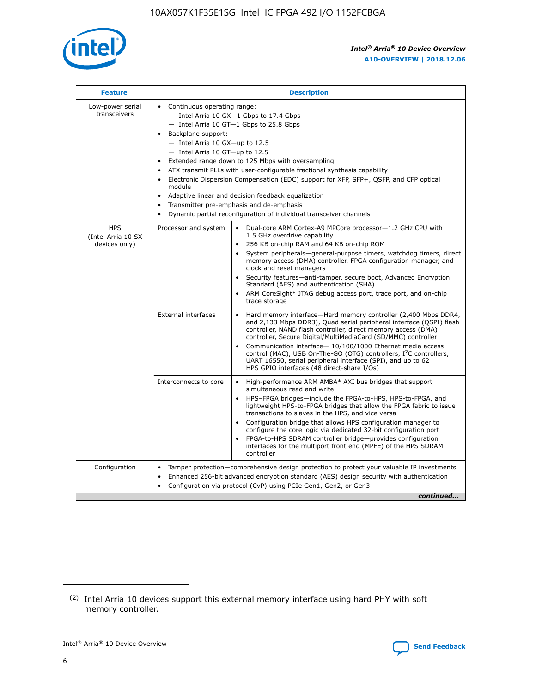

| <b>Feature</b>                                    | <b>Description</b>                                                                                                                                                                                                                                                                                                                                                                                                                                                                                                                                                                                                                             |  |  |  |  |  |  |  |  |
|---------------------------------------------------|------------------------------------------------------------------------------------------------------------------------------------------------------------------------------------------------------------------------------------------------------------------------------------------------------------------------------------------------------------------------------------------------------------------------------------------------------------------------------------------------------------------------------------------------------------------------------------------------------------------------------------------------|--|--|--|--|--|--|--|--|
| Low-power serial<br>transceivers                  | • Continuous operating range:<br>- Intel Arria 10 GX-1 Gbps to 17.4 Gbps<br>- Intel Arria 10 GT-1 Gbps to 25.8 Gbps<br>Backplane support:<br>$-$ Intel Arria 10 GX-up to 12.5<br>$-$ Intel Arria 10 GT-up to 12.5<br>Extended range down to 125 Mbps with oversampling<br>ATX transmit PLLs with user-configurable fractional synthesis capability<br>• Electronic Dispersion Compensation (EDC) support for XFP, SFP+, QSFP, and CFP optical<br>module<br>• Adaptive linear and decision feedback equalization<br>Transmitter pre-emphasis and de-emphasis<br>$\bullet$<br>Dynamic partial reconfiguration of individual transceiver channels |  |  |  |  |  |  |  |  |
| <b>HPS</b><br>(Intel Arria 10 SX<br>devices only) | Processor and system<br>Dual-core ARM Cortex-A9 MPCore processor-1.2 GHz CPU with<br>$\bullet$<br>1.5 GHz overdrive capability<br>256 KB on-chip RAM and 64 KB on-chip ROM<br>$\bullet$<br>System peripherals-general-purpose timers, watchdog timers, direct<br>memory access (DMA) controller, FPGA configuration manager, and<br>clock and reset managers<br>• Security features—anti-tamper, secure boot, Advanced Encryption<br>Standard (AES) and authentication (SHA)<br>ARM CoreSight* JTAG debug access port, trace port, and on-chip<br>trace storage                                                                                |  |  |  |  |  |  |  |  |
|                                                   | <b>External interfaces</b><br>Hard memory interface—Hard memory controller (2,400 Mbps DDR4,<br>$\bullet$<br>and 2,133 Mbps DDR3), Quad serial peripheral interface (QSPI) flash<br>controller, NAND flash controller, direct memory access (DMA)<br>controller, Secure Digital/MultiMediaCard (SD/MMC) controller<br>Communication interface-10/100/1000 Ethernet media access<br>control (MAC), USB On-The-GO (OTG) controllers, I <sup>2</sup> C controllers,<br>UART 16550, serial peripheral interface (SPI), and up to 62<br>HPS GPIO interfaces (48 direct-share I/Os)                                                                  |  |  |  |  |  |  |  |  |
|                                                   | High-performance ARM AMBA* AXI bus bridges that support<br>Interconnects to core<br>$\bullet$<br>simultaneous read and write<br>HPS-FPGA bridges—include the FPGA-to-HPS, HPS-to-FPGA, and<br>$\bullet$<br>lightweight HPS-to-FPGA bridges that allow the FPGA fabric to issue<br>transactions to slaves in the HPS, and vice versa<br>Configuration bridge that allows HPS configuration manager to<br>configure the core logic via dedicated 32-bit configuration port<br>FPGA-to-HPS SDRAM controller bridge-provides configuration<br>interfaces for the multiport front end (MPFE) of the HPS SDRAM<br>controller                         |  |  |  |  |  |  |  |  |
| Configuration                                     | Tamper protection—comprehensive design protection to protect your valuable IP investments<br>Enhanced 256-bit advanced encryption standard (AES) design security with authentication<br>$\bullet$<br>Configuration via protocol (CvP) using PCIe Gen1, Gen2, or Gen3<br>continued                                                                                                                                                                                                                                                                                                                                                              |  |  |  |  |  |  |  |  |

<sup>(2)</sup> Intel Arria 10 devices support this external memory interface using hard PHY with soft memory controller.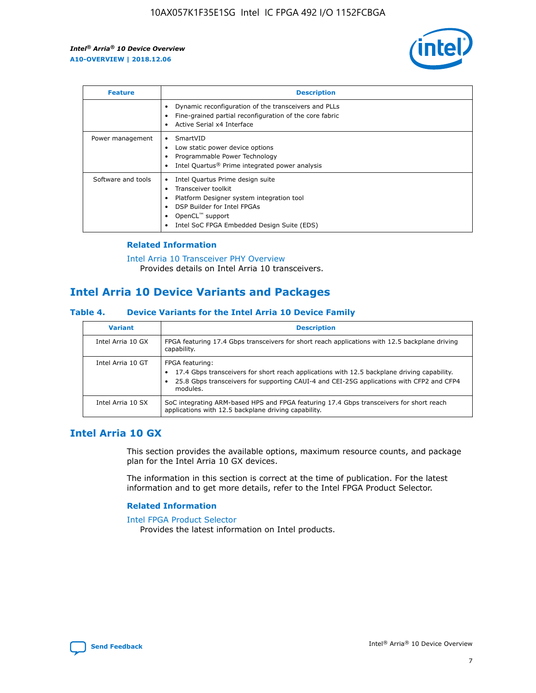

| <b>Feature</b>     | <b>Description</b>                                                                                                                                                                                               |
|--------------------|------------------------------------------------------------------------------------------------------------------------------------------------------------------------------------------------------------------|
|                    | Dynamic reconfiguration of the transceivers and PLLs<br>Fine-grained partial reconfiguration of the core fabric<br>Active Serial x4 Interface<br>$\bullet$                                                       |
| Power management   | SmartVID<br>$\bullet$<br>Low static power device options<br>Programmable Power Technology<br>Intel Quartus <sup>®</sup> Prime integrated power analysis                                                          |
| Software and tools | Intel Quartus Prime design suite<br>Transceiver toolkit<br>Platform Designer system integration tool<br>DSP Builder for Intel FPGAs<br>OpenCL <sup>"</sup> support<br>Intel SoC FPGA Embedded Design Suite (EDS) |

## **Related Information**

#### [Intel Arria 10 Transceiver PHY Overview](https://www.intel.com/content/www/us/en/programmable/documentation/nik1398707230472.html#nik1398706768037) Provides details on Intel Arria 10 transceivers.

## **Intel Arria 10 Device Variants and Packages**

### **Table 4. Device Variants for the Intel Arria 10 Device Family**

| <b>Variant</b>    | <b>Description</b>                                                                                                                                                                                                     |
|-------------------|------------------------------------------------------------------------------------------------------------------------------------------------------------------------------------------------------------------------|
| Intel Arria 10 GX | FPGA featuring 17.4 Gbps transceivers for short reach applications with 12.5 backplane driving<br>capability.                                                                                                          |
| Intel Arria 10 GT | FPGA featuring:<br>17.4 Gbps transceivers for short reach applications with 12.5 backplane driving capability.<br>25.8 Gbps transceivers for supporting CAUI-4 and CEI-25G applications with CFP2 and CFP4<br>modules. |
| Intel Arria 10 SX | SoC integrating ARM-based HPS and FPGA featuring 17.4 Gbps transceivers for short reach<br>applications with 12.5 backplane driving capability.                                                                        |

## **Intel Arria 10 GX**

This section provides the available options, maximum resource counts, and package plan for the Intel Arria 10 GX devices.

The information in this section is correct at the time of publication. For the latest information and to get more details, refer to the Intel FPGA Product Selector.

## **Related Information**

#### [Intel FPGA Product Selector](http://www.altera.com/products/selector/psg-selector.html) Provides the latest information on Intel products.

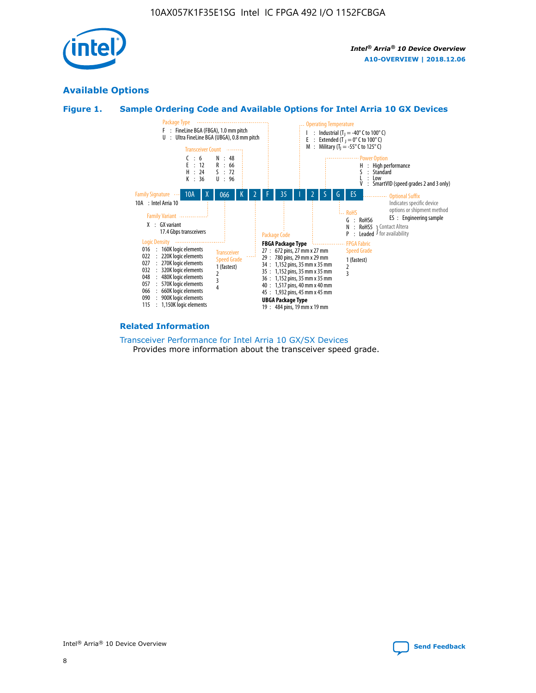

## **Available Options**





#### **Related Information**

[Transceiver Performance for Intel Arria 10 GX/SX Devices](https://www.intel.com/content/www/us/en/programmable/documentation/mcn1413182292568.html#mcn1413213965502) Provides more information about the transceiver speed grade.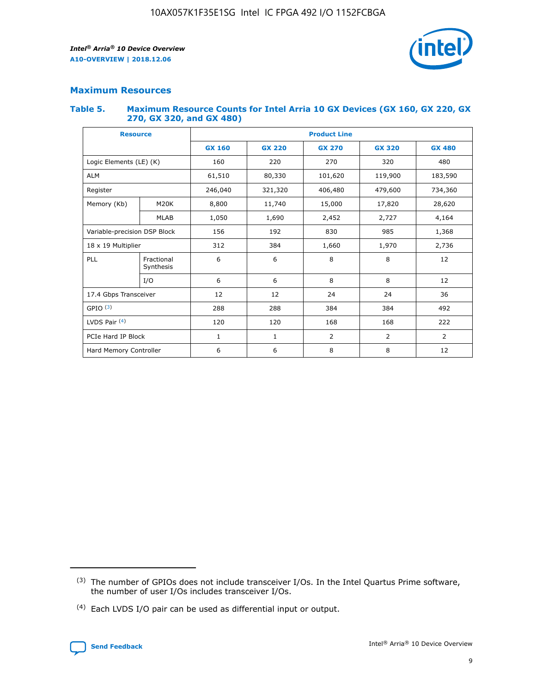

## **Maximum Resources**

#### **Table 5. Maximum Resource Counts for Intel Arria 10 GX Devices (GX 160, GX 220, GX 270, GX 320, and GX 480)**

| <b>Resource</b>              |                         | <b>Product Line</b> |                                |                |                |                |  |  |  |
|------------------------------|-------------------------|---------------------|--------------------------------|----------------|----------------|----------------|--|--|--|
|                              |                         | <b>GX 160</b>       | <b>GX 220</b><br><b>GX 270</b> |                | <b>GX 320</b>  | <b>GX 480</b>  |  |  |  |
| Logic Elements (LE) (K)      |                         | 160                 | 320<br>220<br>270              |                |                | 480            |  |  |  |
| <b>ALM</b>                   |                         | 61,510              | 80,330                         | 101,620        | 119,900        | 183,590        |  |  |  |
| Register                     |                         | 246,040             | 321,320<br>406,480             |                | 479,600        | 734,360        |  |  |  |
| Memory (Kb)                  | M <sub>20</sub> K       | 8,800               | 11,740<br>15,000               |                | 17,820         | 28,620         |  |  |  |
|                              | <b>MLAB</b>             | 1,050               | 1,690                          | 2,452          | 2,727          | 4,164          |  |  |  |
| Variable-precision DSP Block |                         | 156                 | 192                            | 830            | 985            |                |  |  |  |
| 18 x 19 Multiplier           |                         | 312                 | 384                            | 1,970<br>1,660 |                | 2,736          |  |  |  |
| PLL                          | Fractional<br>Synthesis | 6                   | 6                              | 8              | 8              | 12             |  |  |  |
|                              | I/O                     | 6                   | 6                              | 8              | 8              | 12             |  |  |  |
| 17.4 Gbps Transceiver        |                         | 12                  | 12                             | 24             | 24             | 36             |  |  |  |
| GPIO <sup>(3)</sup>          |                         | 288                 | 288                            | 384            | 384            | 492            |  |  |  |
| LVDS Pair $(4)$              |                         | 120                 | 120                            | 168            | 168            | 222            |  |  |  |
| PCIe Hard IP Block           |                         | $\mathbf{1}$        | 1                              | $\overline{2}$ | $\overline{2}$ | $\overline{2}$ |  |  |  |
| Hard Memory Controller       |                         | 6                   | 6                              | 8              | 8              |                |  |  |  |

<sup>(4)</sup> Each LVDS I/O pair can be used as differential input or output.



<sup>(3)</sup> The number of GPIOs does not include transceiver I/Os. In the Intel Quartus Prime software, the number of user I/Os includes transceiver I/Os.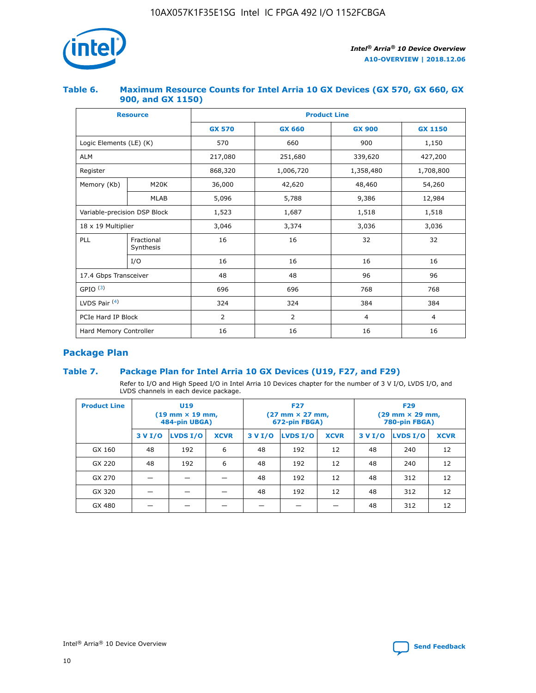

## **Table 6. Maximum Resource Counts for Intel Arria 10 GX Devices (GX 570, GX 660, GX 900, and GX 1150)**

|                              | <b>Resource</b>         | <b>Product Line</b> |                |                |                |  |  |  |
|------------------------------|-------------------------|---------------------|----------------|----------------|----------------|--|--|--|
|                              |                         | <b>GX 570</b>       | <b>GX 660</b>  | <b>GX 900</b>  | <b>GX 1150</b> |  |  |  |
| Logic Elements (LE) (K)      |                         | 570                 | 660            | 900            | 1,150          |  |  |  |
| <b>ALM</b>                   |                         | 217,080             | 251,680        | 339,620        | 427,200        |  |  |  |
| Register                     |                         | 868,320             | 1,006,720      |                | 1,708,800      |  |  |  |
| Memory (Kb)                  | <b>M20K</b>             | 36,000              | 42,620         | 48,460         | 54,260         |  |  |  |
|                              | <b>MLAB</b>             | 5,096               | 5,788          | 9,386          | 12,984         |  |  |  |
| Variable-precision DSP Block |                         | 1,523               | 1,687          | 1,518          | 1,518          |  |  |  |
| $18 \times 19$ Multiplier    |                         | 3,046               | 3,374          | 3,036          | 3,036          |  |  |  |
| PLL                          | Fractional<br>Synthesis | 16                  | 16             | 32             | 32             |  |  |  |
|                              | I/O                     | 16                  | 16             | 16             | 16             |  |  |  |
| 17.4 Gbps Transceiver        |                         | 48                  | 48<br>96       |                | 96             |  |  |  |
| GPIO <sup>(3)</sup>          |                         | 696                 | 696            | 768            | 768            |  |  |  |
| LVDS Pair $(4)$              |                         | 324                 | 324            | 384            | 384            |  |  |  |
| PCIe Hard IP Block           |                         | 2                   | $\overline{2}$ | $\overline{4}$ | 4              |  |  |  |
| Hard Memory Controller       |                         | 16                  | 16             | 16             | 16             |  |  |  |

## **Package Plan**

## **Table 7. Package Plan for Intel Arria 10 GX Devices (U19, F27, and F29)**

Refer to I/O and High Speed I/O in Intel Arria 10 Devices chapter for the number of 3 V I/O, LVDS I/O, and LVDS channels in each device package.

| <b>Product Line</b> | U <sub>19</sub><br>$(19 \text{ mm} \times 19 \text{ mm})$<br>484-pin UBGA) |          |             |         | <b>F27</b><br>(27 mm × 27 mm,<br>672-pin FBGA) |             | <b>F29</b><br>(29 mm × 29 mm,<br>780-pin FBGA) |          |             |  |
|---------------------|----------------------------------------------------------------------------|----------|-------------|---------|------------------------------------------------|-------------|------------------------------------------------|----------|-------------|--|
|                     | 3 V I/O                                                                    | LVDS I/O | <b>XCVR</b> | 3 V I/O | LVDS I/O                                       | <b>XCVR</b> | 3 V I/O                                        | LVDS I/O | <b>XCVR</b> |  |
| GX 160              | 48                                                                         | 192      | 6           | 48      | 192                                            | 12          | 48                                             | 240      | 12          |  |
| GX 220              | 48                                                                         | 192      | 6           | 48      | 192                                            | 12          | 48                                             | 240      | 12          |  |
| GX 270              |                                                                            |          |             | 48      | 192                                            | 12          | 48                                             | 312      | 12          |  |
| GX 320              |                                                                            |          |             | 48      | 192                                            | 12          | 48                                             | 312      | 12          |  |
| GX 480              |                                                                            |          |             |         |                                                |             | 48                                             | 312      | 12          |  |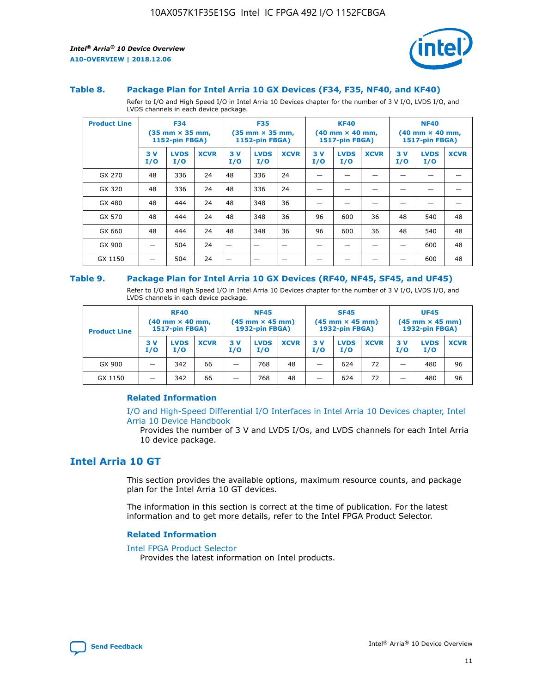

#### **Table 8. Package Plan for Intel Arria 10 GX Devices (F34, F35, NF40, and KF40)**

Refer to I/O and High Speed I/O in Intel Arria 10 Devices chapter for the number of 3 V I/O, LVDS I/O, and LVDS channels in each device package.

| <b>Product Line</b> | <b>F34</b><br>$(35 \text{ mm} \times 35 \text{ mm})$<br>1152-pin FBGA) |                    | <b>F35</b><br>$(35 \text{ mm} \times 35 \text{ mm})$<br><b>1152-pin FBGA)</b> |           | <b>KF40</b><br>$(40$ mm $\times$ 40 mm,<br>1517-pin FBGA) |             |           | <b>NF40</b><br>$(40$ mm $\times$ 40 mm,<br><b>1517-pin FBGA)</b> |             |            |                    |             |
|---------------------|------------------------------------------------------------------------|--------------------|-------------------------------------------------------------------------------|-----------|-----------------------------------------------------------|-------------|-----------|------------------------------------------------------------------|-------------|------------|--------------------|-------------|
|                     | 3V<br>I/O                                                              | <b>LVDS</b><br>I/O | <b>XCVR</b>                                                                   | 3V<br>I/O | <b>LVDS</b><br>I/O                                        | <b>XCVR</b> | 3V<br>I/O | <b>LVDS</b><br>I/O                                               | <b>XCVR</b> | 3 V<br>I/O | <b>LVDS</b><br>I/O | <b>XCVR</b> |
| GX 270              | 48                                                                     | 336                | 24                                                                            | 48        | 336                                                       | 24          |           |                                                                  |             |            |                    |             |
| GX 320              | 48                                                                     | 336                | 24                                                                            | 48        | 336                                                       | 24          |           |                                                                  |             |            |                    |             |
| GX 480              | 48                                                                     | 444                | 24                                                                            | 48        | 348                                                       | 36          |           |                                                                  |             |            |                    |             |
| GX 570              | 48                                                                     | 444                | 24                                                                            | 48        | 348                                                       | 36          | 96        | 600                                                              | 36          | 48         | 540                | 48          |
| GX 660              | 48                                                                     | 444                | 24                                                                            | 48        | 348                                                       | 36          | 96        | 600                                                              | 36          | 48         | 540                | 48          |
| GX 900              |                                                                        | 504                | 24                                                                            | -         |                                                           |             |           |                                                                  |             |            | 600                | 48          |
| GX 1150             |                                                                        | 504                | 24                                                                            |           |                                                           |             |           |                                                                  |             |            | 600                | 48          |

#### **Table 9. Package Plan for Intel Arria 10 GX Devices (RF40, NF45, SF45, and UF45)**

Refer to I/O and High Speed I/O in Intel Arria 10 Devices chapter for the number of 3 V I/O, LVDS I/O, and LVDS channels in each device package.

| <b>Product Line</b> | <b>RF40</b><br>$(40$ mm $\times$ 40 mm,<br>1517-pin FBGA) |                    | <b>NF45</b><br>$(45 \text{ mm} \times 45 \text{ mm})$<br><b>1932-pin FBGA)</b> |            |                    | <b>SF45</b><br>$(45 \text{ mm} \times 45 \text{ mm})$<br><b>1932-pin FBGA)</b> |            |                    | <b>UF45</b><br>$(45 \text{ mm} \times 45 \text{ mm})$<br><b>1932-pin FBGA)</b> |           |                    |             |
|---------------------|-----------------------------------------------------------|--------------------|--------------------------------------------------------------------------------|------------|--------------------|--------------------------------------------------------------------------------|------------|--------------------|--------------------------------------------------------------------------------|-----------|--------------------|-------------|
|                     | 3V<br>I/O                                                 | <b>LVDS</b><br>I/O | <b>XCVR</b>                                                                    | 3 V<br>I/O | <b>LVDS</b><br>I/O | <b>XCVR</b>                                                                    | 3 V<br>I/O | <b>LVDS</b><br>I/O | <b>XCVR</b>                                                                    | 3V<br>I/O | <b>LVDS</b><br>I/O | <b>XCVR</b> |
| GX 900              |                                                           | 342                | 66                                                                             | _          | 768                | 48                                                                             |            | 624                | 72                                                                             |           | 480                | 96          |
| GX 1150             |                                                           | 342                | 66                                                                             | _          | 768                | 48                                                                             |            | 624                | 72                                                                             |           | 480                | 96          |

### **Related Information**

[I/O and High-Speed Differential I/O Interfaces in Intel Arria 10 Devices chapter, Intel](https://www.intel.com/content/www/us/en/programmable/documentation/sam1403482614086.html#sam1403482030321) [Arria 10 Device Handbook](https://www.intel.com/content/www/us/en/programmable/documentation/sam1403482614086.html#sam1403482030321)

Provides the number of 3 V and LVDS I/Os, and LVDS channels for each Intel Arria 10 device package.

## **Intel Arria 10 GT**

This section provides the available options, maximum resource counts, and package plan for the Intel Arria 10 GT devices.

The information in this section is correct at the time of publication. For the latest information and to get more details, refer to the Intel FPGA Product Selector.

#### **Related Information**

#### [Intel FPGA Product Selector](http://www.altera.com/products/selector/psg-selector.html)

Provides the latest information on Intel products.

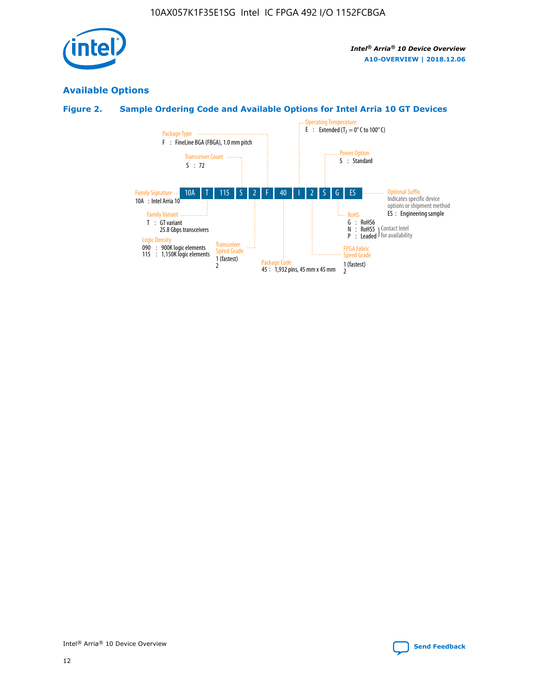

## **Available Options**

## **Figure 2. Sample Ordering Code and Available Options for Intel Arria 10 GT Devices**

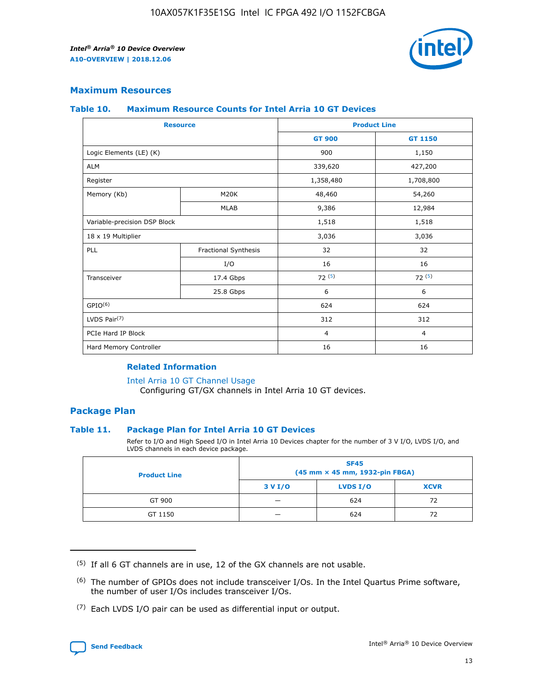

## **Maximum Resources**

#### **Table 10. Maximum Resource Counts for Intel Arria 10 GT Devices**

| <b>Resource</b>              |                      |                | <b>Product Line</b> |  |
|------------------------------|----------------------|----------------|---------------------|--|
|                              |                      | <b>GT 900</b>  | GT 1150             |  |
| Logic Elements (LE) (K)      |                      | 900            | 1,150               |  |
| <b>ALM</b>                   |                      | 339,620        | 427,200             |  |
| Register                     |                      | 1,358,480      | 1,708,800           |  |
| Memory (Kb)                  | M <sub>20</sub> K    | 48,460         | 54,260              |  |
|                              | <b>MLAB</b>          | 9,386          | 12,984              |  |
| Variable-precision DSP Block |                      | 1,518          | 1,518               |  |
| 18 x 19 Multiplier           |                      | 3,036          | 3,036               |  |
| PLL                          | Fractional Synthesis | 32             | 32                  |  |
|                              | I/O                  | 16             | 16                  |  |
| Transceiver                  | 17.4 Gbps            | 72(5)          | 72(5)               |  |
|                              | 25.8 Gbps            | 6              | 6                   |  |
| GPIO <sup>(6)</sup>          |                      | 624            | 624                 |  |
| LVDS Pair $(7)$              |                      | 312            | 312                 |  |
| PCIe Hard IP Block           |                      | $\overline{4}$ | $\overline{4}$      |  |
| Hard Memory Controller       |                      | 16             | 16                  |  |

## **Related Information**

#### [Intel Arria 10 GT Channel Usage](https://www.intel.com/content/www/us/en/programmable/documentation/nik1398707230472.html#nik1398707008178)

Configuring GT/GX channels in Intel Arria 10 GT devices.

## **Package Plan**

### **Table 11. Package Plan for Intel Arria 10 GT Devices**

Refer to I/O and High Speed I/O in Intel Arria 10 Devices chapter for the number of 3 V I/O, LVDS I/O, and LVDS channels in each device package.

| <b>Product Line</b> | <b>SF45</b><br>(45 mm × 45 mm, 1932-pin FBGA) |                 |             |  |  |  |
|---------------------|-----------------------------------------------|-----------------|-------------|--|--|--|
|                     | 3 V I/O                                       | <b>LVDS I/O</b> | <b>XCVR</b> |  |  |  |
| GT 900              |                                               | 624             | 72          |  |  |  |
| GT 1150             |                                               | 624             | 72          |  |  |  |

<sup>(7)</sup> Each LVDS I/O pair can be used as differential input or output.



 $(5)$  If all 6 GT channels are in use, 12 of the GX channels are not usable.

<sup>(6)</sup> The number of GPIOs does not include transceiver I/Os. In the Intel Quartus Prime software, the number of user I/Os includes transceiver I/Os.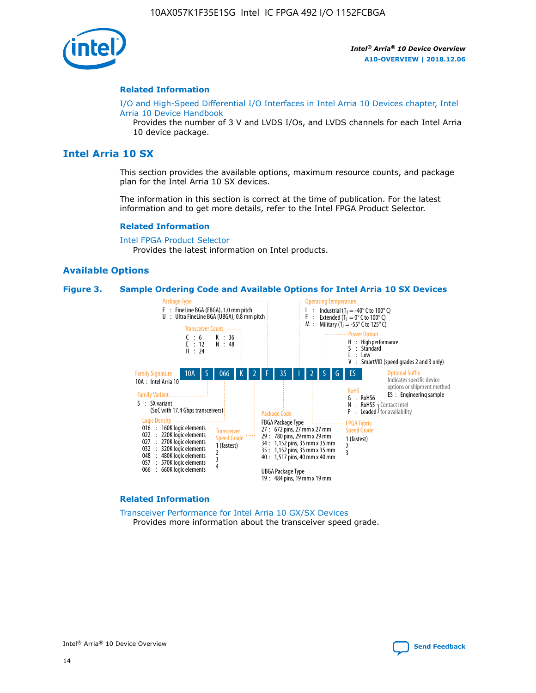

#### **Related Information**

[I/O and High-Speed Differential I/O Interfaces in Intel Arria 10 Devices chapter, Intel](https://www.intel.com/content/www/us/en/programmable/documentation/sam1403482614086.html#sam1403482030321) [Arria 10 Device Handbook](https://www.intel.com/content/www/us/en/programmable/documentation/sam1403482614086.html#sam1403482030321)

Provides the number of 3 V and LVDS I/Os, and LVDS channels for each Intel Arria 10 device package.

## **Intel Arria 10 SX**

This section provides the available options, maximum resource counts, and package plan for the Intel Arria 10 SX devices.

The information in this section is correct at the time of publication. For the latest information and to get more details, refer to the Intel FPGA Product Selector.

#### **Related Information**

[Intel FPGA Product Selector](http://www.altera.com/products/selector/psg-selector.html) Provides the latest information on Intel products.

### **Available Options**

#### **Figure 3. Sample Ordering Code and Available Options for Intel Arria 10 SX Devices**



#### **Related Information**

[Transceiver Performance for Intel Arria 10 GX/SX Devices](https://www.intel.com/content/www/us/en/programmable/documentation/mcn1413182292568.html#mcn1413213965502) Provides more information about the transceiver speed grade.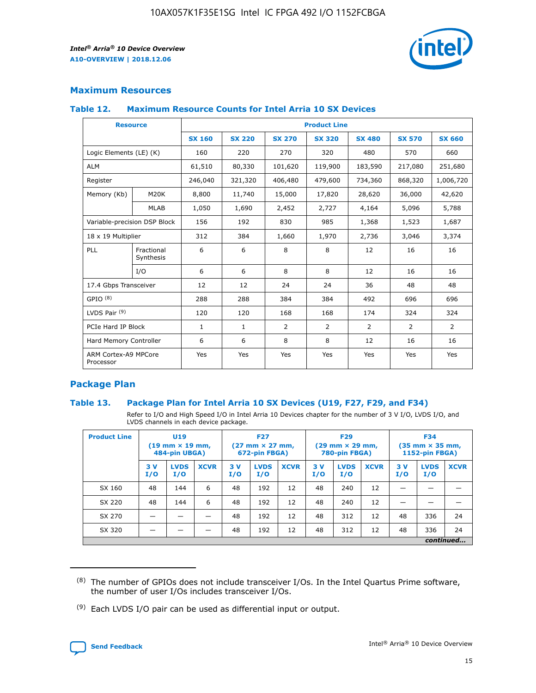

## **Maximum Resources**

#### **Table 12. Maximum Resource Counts for Intel Arria 10 SX Devices**

| <b>Resource</b>                   |                         | <b>Product Line</b> |               |                |                |                |                |                |  |  |  |
|-----------------------------------|-------------------------|---------------------|---------------|----------------|----------------|----------------|----------------|----------------|--|--|--|
|                                   |                         | <b>SX 160</b>       | <b>SX 220</b> | <b>SX 270</b>  | <b>SX 320</b>  | <b>SX 480</b>  | <b>SX 570</b>  | <b>SX 660</b>  |  |  |  |
| Logic Elements (LE) (K)           |                         | 160                 | 220           | 270            | 320            | 480            | 570            | 660            |  |  |  |
| <b>ALM</b>                        |                         | 61,510              | 80,330        | 101,620        | 119,900        | 183,590        | 217,080        | 251,680        |  |  |  |
| Register                          |                         | 246,040             | 321,320       | 406,480        | 479,600        | 734,360        | 868,320        | 1,006,720      |  |  |  |
| Memory (Kb)                       | <b>M20K</b>             | 8,800               | 11,740        | 15,000         | 17,820         | 28,620         | 36,000         | 42,620         |  |  |  |
|                                   | <b>MLAB</b>             | 1,050               | 1,690         | 2,452          | 2,727          | 4,164          | 5,096          | 5,788          |  |  |  |
| Variable-precision DSP Block      |                         | 156                 | 192           | 830            | 985            | 1,368          | 1,523          | 1,687          |  |  |  |
| 18 x 19 Multiplier                |                         | 312                 | 384           | 1,660          | 1,970          | 2,736          | 3,046          | 3,374          |  |  |  |
| PLL                               | Fractional<br>Synthesis | 6                   | 6             | 8              | 8              | 12             | 16             | 16             |  |  |  |
|                                   | I/O                     | 6                   | 6             | 8              | 8              | 12             | 16             | 16             |  |  |  |
| 17.4 Gbps Transceiver             |                         | 12                  | 12            | 24             | 24             | 36             | 48             | 48             |  |  |  |
| GPIO <sup>(8)</sup>               |                         | 288                 | 288           | 384            | 384            | 492            | 696            | 696            |  |  |  |
| LVDS Pair $(9)$                   |                         | 120                 | 120           | 168            | 168            | 174            | 324            | 324            |  |  |  |
|                                   | PCIe Hard IP Block      |                     | $\mathbf{1}$  | $\overline{2}$ | $\overline{2}$ | $\overline{2}$ | $\overline{2}$ | $\overline{2}$ |  |  |  |
| Hard Memory Controller            |                         | 6                   | 6             | 8              | 8              | 12             | 16             | 16             |  |  |  |
| ARM Cortex-A9 MPCore<br>Processor |                         | Yes                 | Yes           | Yes            | Yes            | Yes            | Yes            | <b>Yes</b>     |  |  |  |

## **Package Plan**

### **Table 13. Package Plan for Intel Arria 10 SX Devices (U19, F27, F29, and F34)**

Refer to I/O and High Speed I/O in Intel Arria 10 Devices chapter for the number of 3 V I/O, LVDS I/O, and LVDS channels in each device package.

| <b>Product Line</b> | U <sub>19</sub><br>$(19 \text{ mm} \times 19 \text{ mm})$<br>484-pin UBGA) |                    | <b>F27</b><br>$(27 \text{ mm} \times 27 \text{ mm})$<br>672-pin FBGA) |           | <b>F29</b><br>$(29 \text{ mm} \times 29 \text{ mm})$<br>780-pin FBGA) |             |            | <b>F34</b><br>$(35 \text{ mm} \times 35 \text{ mm})$<br><b>1152-pin FBGA)</b> |             |           |                    |             |
|---------------------|----------------------------------------------------------------------------|--------------------|-----------------------------------------------------------------------|-----------|-----------------------------------------------------------------------|-------------|------------|-------------------------------------------------------------------------------|-------------|-----------|--------------------|-------------|
|                     | 3V<br>I/O                                                                  | <b>LVDS</b><br>I/O | <b>XCVR</b>                                                           | 3V<br>I/O | <b>LVDS</b><br>I/O                                                    | <b>XCVR</b> | 3 V<br>I/O | <b>LVDS</b><br>I/O                                                            | <b>XCVR</b> | 3V<br>I/O | <b>LVDS</b><br>I/O | <b>XCVR</b> |
| SX 160              | 48                                                                         | 144                | 6                                                                     | 48        | 192                                                                   | 12          | 48         | 240                                                                           | 12          | –         |                    |             |
| SX 220              | 48                                                                         | 144                | 6                                                                     | 48        | 192                                                                   | 12          | 48         | 240                                                                           | 12          |           |                    |             |
| SX 270              |                                                                            |                    |                                                                       | 48        | 192                                                                   | 12          | 48         | 312                                                                           | 12          | 48        | 336                | 24          |
| SX 320              |                                                                            |                    |                                                                       | 48        | 192                                                                   | 12          | 48         | 312                                                                           | 12          | 48        | 336                | 24          |
|                     |                                                                            |                    |                                                                       |           |                                                                       |             |            |                                                                               |             |           |                    | continued   |

 $(8)$  The number of GPIOs does not include transceiver I/Os. In the Intel Quartus Prime software, the number of user I/Os includes transceiver I/Os.

 $(9)$  Each LVDS I/O pair can be used as differential input or output.

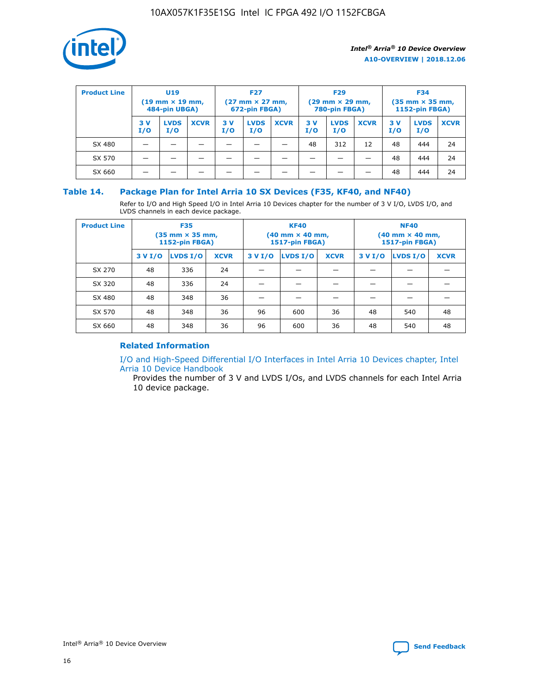

| <b>Product Line</b> | U <sub>19</sub><br>$(19 \text{ mm} \times 19 \text{ mm})$<br>484-pin UBGA) |                    | <b>F27</b><br>$(27 \text{ mm} \times 27 \text{ mm})$<br>672-pin FBGA) |            | <b>F29</b><br>$(29 \text{ mm} \times 29 \text{ mm})$<br>780-pin FBGA) |             |           | <b>F34</b><br>$(35$ mm $\times$ 35 mm,<br><b>1152-pin FBGA)</b> |             |           |                    |             |
|---------------------|----------------------------------------------------------------------------|--------------------|-----------------------------------------------------------------------|------------|-----------------------------------------------------------------------|-------------|-----------|-----------------------------------------------------------------|-------------|-----------|--------------------|-------------|
|                     | 3V<br>I/O                                                                  | <b>LVDS</b><br>I/O | <b>XCVR</b>                                                           | 3 V<br>I/O | <b>LVDS</b><br>I/O                                                    | <b>XCVR</b> | 3V<br>I/O | <b>LVDS</b><br>I/O                                              | <b>XCVR</b> | 3V<br>I/O | <b>LVDS</b><br>I/O | <b>XCVR</b> |
| SX 480              |                                                                            |                    |                                                                       |            |                                                                       |             | 48        | 312                                                             | 12          | 48        | 444                | 24          |
| SX 570              |                                                                            |                    |                                                                       |            |                                                                       |             |           |                                                                 |             | 48        | 444                | 24          |
| SX 660              |                                                                            |                    |                                                                       |            |                                                                       |             |           |                                                                 |             | 48        | 444                | 24          |

## **Table 14. Package Plan for Intel Arria 10 SX Devices (F35, KF40, and NF40)**

Refer to I/O and High Speed I/O in Intel Arria 10 Devices chapter for the number of 3 V I/O, LVDS I/O, and LVDS channels in each device package.

| <b>Product Line</b> | <b>F35</b><br>$(35 \text{ mm} \times 35 \text{ mm})$<br><b>1152-pin FBGA)</b> |          |             |                                           | <b>KF40</b><br>(40 mm × 40 mm,<br>1517-pin FBGA) |    | <b>NF40</b><br>$(40 \text{ mm} \times 40 \text{ mm})$<br>1517-pin FBGA) |          |             |  |
|---------------------|-------------------------------------------------------------------------------|----------|-------------|-------------------------------------------|--------------------------------------------------|----|-------------------------------------------------------------------------|----------|-------------|--|
|                     | 3 V I/O                                                                       | LVDS I/O | <b>XCVR</b> | <b>LVDS I/O</b><br><b>XCVR</b><br>3 V I/O |                                                  |    | 3 V I/O                                                                 | LVDS I/O | <b>XCVR</b> |  |
| SX 270              | 48                                                                            | 336      | 24          |                                           |                                                  |    |                                                                         |          |             |  |
| SX 320              | 48                                                                            | 336      | 24          |                                           |                                                  |    |                                                                         |          |             |  |
| SX 480              | 48                                                                            | 348      | 36          |                                           |                                                  |    |                                                                         |          |             |  |
| SX 570              | 48                                                                            | 348      | 36          | 96                                        | 600                                              | 36 | 48                                                                      | 540      | 48          |  |
| SX 660              | 48                                                                            | 348      | 36          | 96                                        | 600                                              | 36 | 48                                                                      | 540      | 48          |  |

## **Related Information**

[I/O and High-Speed Differential I/O Interfaces in Intel Arria 10 Devices chapter, Intel](https://www.intel.com/content/www/us/en/programmable/documentation/sam1403482614086.html#sam1403482030321) [Arria 10 Device Handbook](https://www.intel.com/content/www/us/en/programmable/documentation/sam1403482614086.html#sam1403482030321)

Provides the number of 3 V and LVDS I/Os, and LVDS channels for each Intel Arria 10 device package.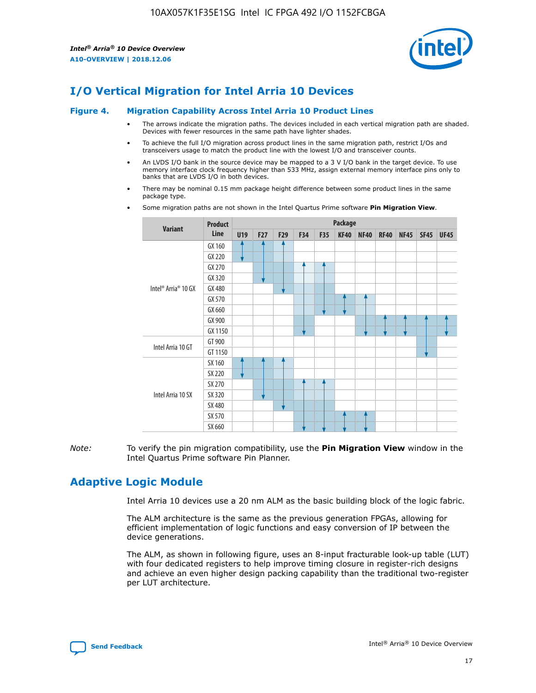

# **I/O Vertical Migration for Intel Arria 10 Devices**

#### **Figure 4. Migration Capability Across Intel Arria 10 Product Lines**

- The arrows indicate the migration paths. The devices included in each vertical migration path are shaded. Devices with fewer resources in the same path have lighter shades.
- To achieve the full I/O migration across product lines in the same migration path, restrict I/Os and transceivers usage to match the product line with the lowest I/O and transceiver counts.
- An LVDS I/O bank in the source device may be mapped to a 3 V I/O bank in the target device. To use memory interface clock frequency higher than 533 MHz, assign external memory interface pins only to banks that are LVDS I/O in both devices.
- There may be nominal 0.15 mm package height difference between some product lines in the same package type.
	- **Variant Product Line Package U19 F27 F29 F34 F35 KF40 NF40 RF40 NF45 SF45 UF45** Intel® Arria® 10 GX GX 160 GX 220 GX 270 GX 320 GX 480 GX 570 GX 660 GX 900 GX 1150 Intel Arria 10 GT GT 900 GT 1150 Intel Arria 10 SX SX 160 SX 220 SX 270 SX 320 SX 480 SX 570 SX 660
- Some migration paths are not shown in the Intel Quartus Prime software **Pin Migration View**.

*Note:* To verify the pin migration compatibility, use the **Pin Migration View** window in the Intel Quartus Prime software Pin Planner.

## **Adaptive Logic Module**

Intel Arria 10 devices use a 20 nm ALM as the basic building block of the logic fabric.

The ALM architecture is the same as the previous generation FPGAs, allowing for efficient implementation of logic functions and easy conversion of IP between the device generations.

The ALM, as shown in following figure, uses an 8-input fracturable look-up table (LUT) with four dedicated registers to help improve timing closure in register-rich designs and achieve an even higher design packing capability than the traditional two-register per LUT architecture.

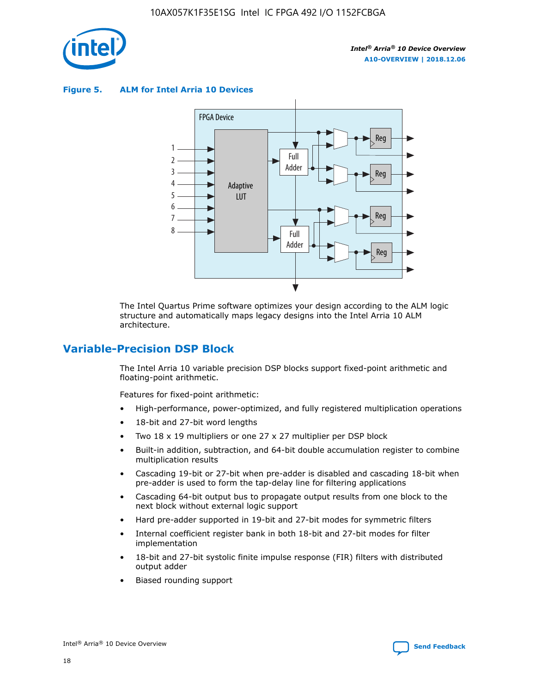

**Figure 5. ALM for Intel Arria 10 Devices**



The Intel Quartus Prime software optimizes your design according to the ALM logic structure and automatically maps legacy designs into the Intel Arria 10 ALM architecture.

## **Variable-Precision DSP Block**

The Intel Arria 10 variable precision DSP blocks support fixed-point arithmetic and floating-point arithmetic.

Features for fixed-point arithmetic:

- High-performance, power-optimized, and fully registered multiplication operations
- 18-bit and 27-bit word lengths
- Two 18 x 19 multipliers or one 27 x 27 multiplier per DSP block
- Built-in addition, subtraction, and 64-bit double accumulation register to combine multiplication results
- Cascading 19-bit or 27-bit when pre-adder is disabled and cascading 18-bit when pre-adder is used to form the tap-delay line for filtering applications
- Cascading 64-bit output bus to propagate output results from one block to the next block without external logic support
- Hard pre-adder supported in 19-bit and 27-bit modes for symmetric filters
- Internal coefficient register bank in both 18-bit and 27-bit modes for filter implementation
- 18-bit and 27-bit systolic finite impulse response (FIR) filters with distributed output adder
- Biased rounding support

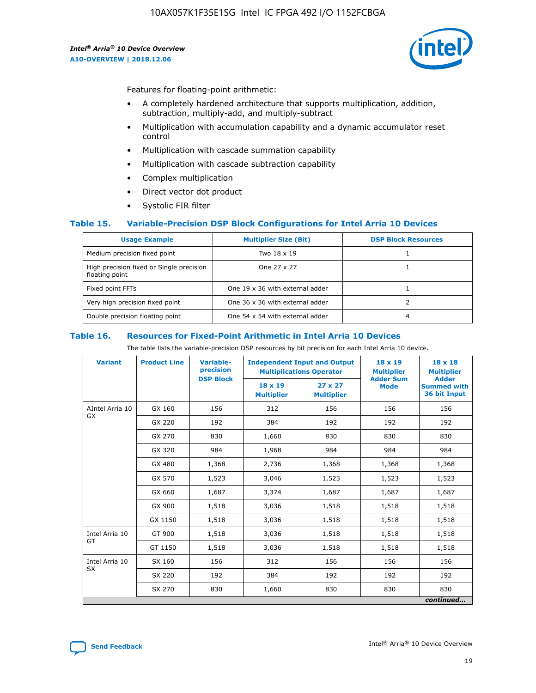

Features for floating-point arithmetic:

- A completely hardened architecture that supports multiplication, addition, subtraction, multiply-add, and multiply-subtract
- Multiplication with accumulation capability and a dynamic accumulator reset control
- Multiplication with cascade summation capability
- Multiplication with cascade subtraction capability
- Complex multiplication
- Direct vector dot product
- Systolic FIR filter

### **Table 15. Variable-Precision DSP Block Configurations for Intel Arria 10 Devices**

| <b>Usage Example</b>                                       | <b>Multiplier Size (Bit)</b>    | <b>DSP Block Resources</b> |
|------------------------------------------------------------|---------------------------------|----------------------------|
| Medium precision fixed point                               | Two 18 x 19                     |                            |
| High precision fixed or Single precision<br>floating point | One 27 x 27                     |                            |
| Fixed point FFTs                                           | One 19 x 36 with external adder |                            |
| Very high precision fixed point                            | One 36 x 36 with external adder |                            |
| Double precision floating point                            | One 54 x 54 with external adder | 4                          |

#### **Table 16. Resources for Fixed-Point Arithmetic in Intel Arria 10 Devices**

The table lists the variable-precision DSP resources by bit precision for each Intel Arria 10 device.

| <b>Variant</b>  | <b>Product Line</b> | <b>Variable-</b><br>precision<br><b>DSP Block</b> | <b>Independent Input and Output</b><br><b>Multiplications Operator</b> |                                     | 18 x 19<br><b>Multiplier</b><br><b>Adder Sum</b> | $18 \times 18$<br><b>Multiplier</b><br><b>Adder</b> |
|-----------------|---------------------|---------------------------------------------------|------------------------------------------------------------------------|-------------------------------------|--------------------------------------------------|-----------------------------------------------------|
|                 |                     |                                                   | 18 x 19<br><b>Multiplier</b>                                           | $27 \times 27$<br><b>Multiplier</b> | <b>Mode</b>                                      | <b>Summed with</b><br>36 bit Input                  |
| AIntel Arria 10 | GX 160              | 156                                               | 312                                                                    | 156                                 | 156                                              | 156                                                 |
| GX              | GX 220              | 192                                               | 384                                                                    | 192                                 | 192                                              | 192                                                 |
|                 | GX 270              | 830                                               | 1,660                                                                  | 830                                 | 830                                              | 830                                                 |
|                 | GX 320              | 984                                               | 1,968                                                                  | 984                                 | 984                                              | 984                                                 |
|                 | GX 480              | 1,368                                             | 2,736                                                                  | 1,368                               | 1,368                                            | 1,368                                               |
|                 | GX 570              | 1,523                                             | 3,046                                                                  | 1,523                               | 1,523                                            | 1,523                                               |
|                 | GX 660              | 1,687                                             | 3,374                                                                  | 1,687                               | 1,687                                            | 1,687                                               |
|                 | GX 900              | 1,518                                             | 3,036                                                                  | 1,518                               | 1,518                                            | 1,518                                               |
|                 | GX 1150             | 1,518                                             | 3,036                                                                  | 1,518                               | 1,518                                            | 1,518                                               |
| Intel Arria 10  | GT 900              | 1,518                                             | 3,036                                                                  | 1,518                               | 1,518                                            | 1,518                                               |
| GT              | GT 1150             | 1,518                                             | 3,036                                                                  | 1,518                               | 1,518                                            | 1,518                                               |
| Intel Arria 10  | SX 160              | 156                                               | 312                                                                    | 156                                 | 156                                              | 156                                                 |
| <b>SX</b>       | SX 220<br>192       |                                                   | 384                                                                    | 192                                 | 192                                              | 192                                                 |
|                 | SX 270              | 830                                               | 1,660                                                                  | 830                                 | 830                                              | 830                                                 |
|                 |                     |                                                   |                                                                        |                                     |                                                  | continued                                           |

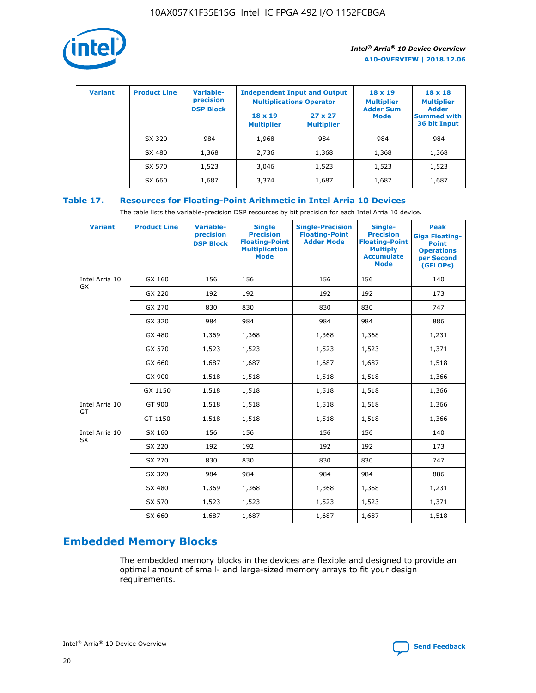

| <b>Variant</b> | <b>Product Line</b> | <b>Variable-</b><br>precision |                                     | <b>Independent Input and Output</b><br><b>Multiplications Operator</b> | $18 \times 19$<br><b>Multiplier</b> | $18 \times 18$<br><b>Multiplier</b>                |
|----------------|---------------------|-------------------------------|-------------------------------------|------------------------------------------------------------------------|-------------------------------------|----------------------------------------------------|
|                |                     | <b>DSP Block</b>              | $18 \times 19$<br><b>Multiplier</b> | $27 \times 27$<br><b>Multiplier</b>                                    | <b>Adder Sum</b><br>Mode            | <b>Adder</b><br><b>Summed with</b><br>36 bit Input |
|                | SX 320              | 984                           | 1,968                               | 984                                                                    | 984                                 | 984                                                |
|                | SX 480              | 1,368                         | 2,736                               | 1,368                                                                  | 1,368                               | 1,368                                              |
|                | SX 570              | 1,523                         | 3,046                               | 1,523                                                                  | 1,523                               | 1,523                                              |
|                | SX 660              | 1,687                         | 3,374                               | 1,687                                                                  | 1,687                               | 1,687                                              |

## **Table 17. Resources for Floating-Point Arithmetic in Intel Arria 10 Devices**

The table lists the variable-precision DSP resources by bit precision for each Intel Arria 10 device.

| <b>Variant</b> | <b>Product Line</b> | <b>Variable-</b><br>precision<br><b>DSP Block</b> | <b>Single</b><br><b>Precision</b><br><b>Floating-Point</b><br><b>Multiplication</b><br><b>Mode</b> | <b>Single-Precision</b><br><b>Floating-Point</b><br><b>Adder Mode</b> | Single-<br><b>Precision</b><br><b>Floating-Point</b><br><b>Multiply</b><br><b>Accumulate</b><br><b>Mode</b> | <b>Peak</b><br><b>Giga Floating-</b><br><b>Point</b><br><b>Operations</b><br>per Second<br>(GFLOPs) |
|----------------|---------------------|---------------------------------------------------|----------------------------------------------------------------------------------------------------|-----------------------------------------------------------------------|-------------------------------------------------------------------------------------------------------------|-----------------------------------------------------------------------------------------------------|
| Intel Arria 10 | GX 160              | 156                                               | 156                                                                                                | 156                                                                   | 156                                                                                                         | 140                                                                                                 |
| <b>GX</b>      | GX 220              | 192                                               | 192                                                                                                | 192                                                                   | 192                                                                                                         | 173                                                                                                 |
|                | GX 270              | 830                                               | 830                                                                                                | 830                                                                   | 830                                                                                                         | 747                                                                                                 |
|                | GX 320              | 984                                               | 984                                                                                                | 984                                                                   | 984                                                                                                         | 886                                                                                                 |
|                | GX 480              | 1,369                                             | 1,368                                                                                              | 1,368                                                                 | 1,368                                                                                                       | 1,231                                                                                               |
|                | GX 570              | 1,523                                             | 1,523                                                                                              | 1,523                                                                 | 1,523                                                                                                       | 1,371                                                                                               |
|                | GX 660              | 1,687                                             | 1,687                                                                                              | 1,687                                                                 | 1,687                                                                                                       | 1,518                                                                                               |
|                | GX 900              | 1,518                                             | 1,518                                                                                              | 1,518                                                                 | 1,518                                                                                                       | 1,366                                                                                               |
|                | GX 1150             | 1,518                                             | 1,518                                                                                              | 1,518                                                                 | 1,518                                                                                                       | 1,366                                                                                               |
| Intel Arria 10 | GT 900              | 1,518                                             | 1,518                                                                                              | 1,518                                                                 | 1,518                                                                                                       | 1,366                                                                                               |
| GT             | GT 1150             | 1,518                                             | 1,518                                                                                              | 1,518                                                                 | 1,518                                                                                                       | 1,366                                                                                               |
| Intel Arria 10 | SX 160              | 156                                               | 156                                                                                                | 156                                                                   | 156                                                                                                         | 140                                                                                                 |
| SX             | SX 220              | 192                                               | 192                                                                                                | 192                                                                   | 192                                                                                                         | 173                                                                                                 |
|                | SX 270              | 830                                               | 830                                                                                                | 830                                                                   | 830                                                                                                         | 747                                                                                                 |
|                | SX 320              | 984                                               | 984                                                                                                | 984                                                                   | 984                                                                                                         | 886                                                                                                 |
|                | SX 480              | 1,369                                             | 1,368                                                                                              | 1,368                                                                 | 1,368                                                                                                       | 1,231                                                                                               |
|                | SX 570              | 1,523                                             | 1,523                                                                                              | 1,523                                                                 | 1,523                                                                                                       | 1,371                                                                                               |
|                | SX 660              | 1,687                                             | 1,687                                                                                              | 1,687                                                                 | 1,687                                                                                                       | 1,518                                                                                               |

# **Embedded Memory Blocks**

The embedded memory blocks in the devices are flexible and designed to provide an optimal amount of small- and large-sized memory arrays to fit your design requirements.

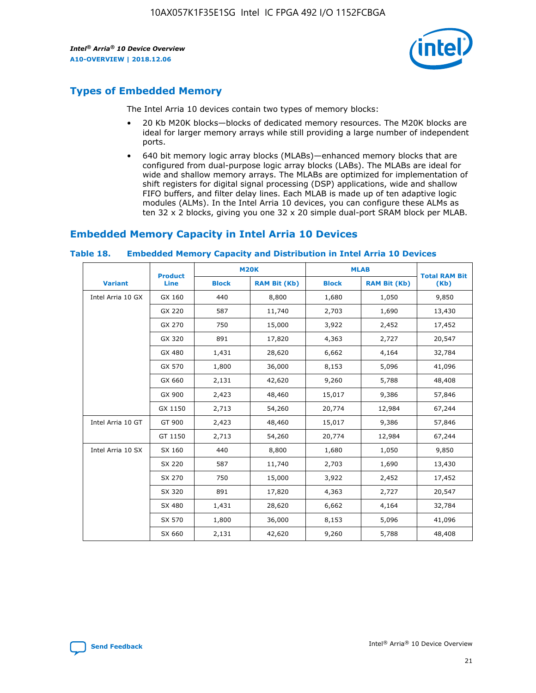

## **Types of Embedded Memory**

The Intel Arria 10 devices contain two types of memory blocks:

- 20 Kb M20K blocks—blocks of dedicated memory resources. The M20K blocks are ideal for larger memory arrays while still providing a large number of independent ports.
- 640 bit memory logic array blocks (MLABs)—enhanced memory blocks that are configured from dual-purpose logic array blocks (LABs). The MLABs are ideal for wide and shallow memory arrays. The MLABs are optimized for implementation of shift registers for digital signal processing (DSP) applications, wide and shallow FIFO buffers, and filter delay lines. Each MLAB is made up of ten adaptive logic modules (ALMs). In the Intel Arria 10 devices, you can configure these ALMs as ten 32 x 2 blocks, giving you one 32 x 20 simple dual-port SRAM block per MLAB.

## **Embedded Memory Capacity in Intel Arria 10 Devices**

|                   | <b>Product</b> |              | <b>M20K</b>         | <b>MLAB</b>  |                     | <b>Total RAM Bit</b> |
|-------------------|----------------|--------------|---------------------|--------------|---------------------|----------------------|
| <b>Variant</b>    | Line           | <b>Block</b> | <b>RAM Bit (Kb)</b> | <b>Block</b> | <b>RAM Bit (Kb)</b> | (Kb)                 |
| Intel Arria 10 GX | GX 160         | 440          | 8,800               | 1,680        | 1,050               | 9,850                |
|                   | GX 220         | 587          | 11,740              | 2,703        | 1,690               | 13,430               |
|                   | GX 270         | 750          | 15,000              | 3,922        | 2,452               | 17,452               |
|                   | GX 320         | 891          | 17,820              | 4,363        | 2,727               | 20,547               |
|                   | GX 480         | 1,431        | 28,620              | 6,662        | 4,164               | 32,784               |
|                   | GX 570         | 1,800        | 36,000              | 8,153        | 5,096               | 41,096               |
|                   | GX 660         | 2,131        | 42,620              | 9,260        | 5,788               | 48,408               |
|                   | GX 900         | 2,423        | 48,460              | 15,017       | 9,386               | 57,846               |
|                   | GX 1150        | 2,713        | 54,260              | 20,774       | 12,984              | 67,244               |
| Intel Arria 10 GT | GT 900         | 2,423        | 48,460              | 15,017       | 9,386               | 57,846               |
|                   | GT 1150        | 2,713        | 54,260              | 20,774       | 12,984              | 67,244               |
| Intel Arria 10 SX | SX 160         | 440          | 8,800               | 1,680        | 1,050               | 9,850                |
|                   | SX 220         | 587          | 11,740              | 2,703        | 1,690               | 13,430               |
|                   | SX 270         | 750          | 15,000              | 3,922        | 2,452               | 17,452               |
|                   | SX 320         | 891          | 17,820              | 4,363        | 2,727               | 20,547               |
|                   | SX 480         | 1,431        | 28,620              | 6,662        | 4,164               | 32,784               |
|                   | SX 570         | 1,800        | 36,000              | 8,153        | 5,096               | 41,096               |
|                   | SX 660         | 2,131        | 42,620              | 9,260        | 5,788               | 48,408               |

#### **Table 18. Embedded Memory Capacity and Distribution in Intel Arria 10 Devices**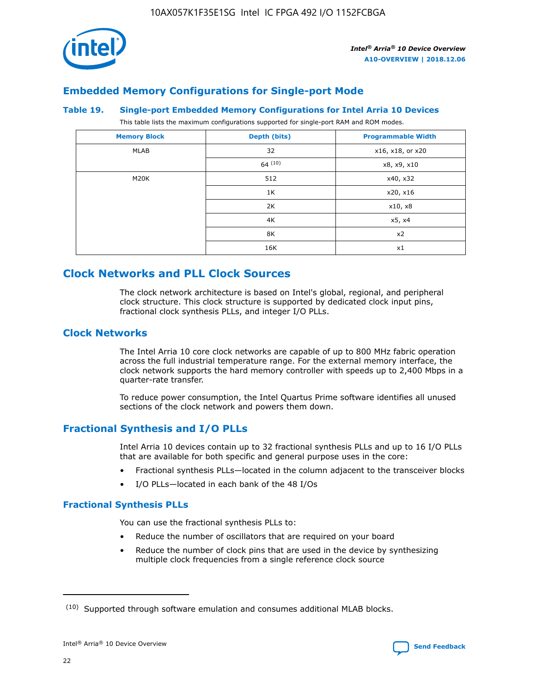

## **Embedded Memory Configurations for Single-port Mode**

#### **Table 19. Single-port Embedded Memory Configurations for Intel Arria 10 Devices**

This table lists the maximum configurations supported for single-port RAM and ROM modes.

| <b>Memory Block</b> | Depth (bits) | <b>Programmable Width</b> |
|---------------------|--------------|---------------------------|
| MLAB                | 32           | x16, x18, or x20          |
|                     | 64(10)       | x8, x9, x10               |
| M20K                | 512          | x40, x32                  |
|                     | 1K           | x20, x16                  |
|                     | 2K           | x10, x8                   |
|                     | 4K           | x5, x4                    |
|                     | 8K           | x2                        |
|                     | 16K          | x1                        |

## **Clock Networks and PLL Clock Sources**

The clock network architecture is based on Intel's global, regional, and peripheral clock structure. This clock structure is supported by dedicated clock input pins, fractional clock synthesis PLLs, and integer I/O PLLs.

## **Clock Networks**

The Intel Arria 10 core clock networks are capable of up to 800 MHz fabric operation across the full industrial temperature range. For the external memory interface, the clock network supports the hard memory controller with speeds up to 2,400 Mbps in a quarter-rate transfer.

To reduce power consumption, the Intel Quartus Prime software identifies all unused sections of the clock network and powers them down.

## **Fractional Synthesis and I/O PLLs**

Intel Arria 10 devices contain up to 32 fractional synthesis PLLs and up to 16 I/O PLLs that are available for both specific and general purpose uses in the core:

- Fractional synthesis PLLs—located in the column adjacent to the transceiver blocks
- I/O PLLs—located in each bank of the 48 I/Os

## **Fractional Synthesis PLLs**

You can use the fractional synthesis PLLs to:

- Reduce the number of oscillators that are required on your board
- Reduce the number of clock pins that are used in the device by synthesizing multiple clock frequencies from a single reference clock source

<sup>(10)</sup> Supported through software emulation and consumes additional MLAB blocks.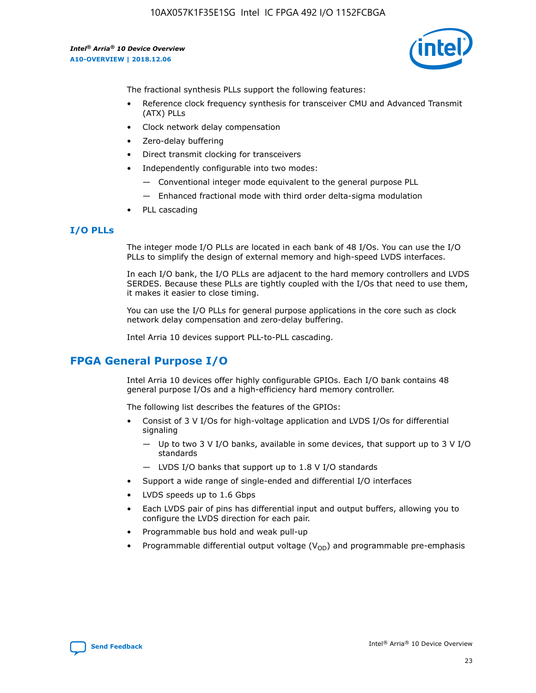10AX057K1F35E1SG Intel IC FPGA 492 I/O 1152FCBGA

*Intel® Arria® 10 Device Overview* **A10-OVERVIEW | 2018.12.06**



The fractional synthesis PLLs support the following features:

- Reference clock frequency synthesis for transceiver CMU and Advanced Transmit (ATX) PLLs
- Clock network delay compensation
- Zero-delay buffering
- Direct transmit clocking for transceivers
- Independently configurable into two modes:
	- Conventional integer mode equivalent to the general purpose PLL
	- Enhanced fractional mode with third order delta-sigma modulation
- PLL cascading

### **I/O PLLs**

The integer mode I/O PLLs are located in each bank of 48 I/Os. You can use the I/O PLLs to simplify the design of external memory and high-speed LVDS interfaces.

In each I/O bank, the I/O PLLs are adjacent to the hard memory controllers and LVDS SERDES. Because these PLLs are tightly coupled with the I/Os that need to use them, it makes it easier to close timing.

You can use the I/O PLLs for general purpose applications in the core such as clock network delay compensation and zero-delay buffering.

Intel Arria 10 devices support PLL-to-PLL cascading.

## **FPGA General Purpose I/O**

Intel Arria 10 devices offer highly configurable GPIOs. Each I/O bank contains 48 general purpose I/Os and a high-efficiency hard memory controller.

The following list describes the features of the GPIOs:

- Consist of 3 V I/Os for high-voltage application and LVDS I/Os for differential signaling
	- Up to two 3 V I/O banks, available in some devices, that support up to 3 V I/O standards
	- LVDS I/O banks that support up to 1.8 V I/O standards
- Support a wide range of single-ended and differential I/O interfaces
- LVDS speeds up to 1.6 Gbps
- Each LVDS pair of pins has differential input and output buffers, allowing you to configure the LVDS direction for each pair.
- Programmable bus hold and weak pull-up
- Programmable differential output voltage  $(V_{OD})$  and programmable pre-emphasis

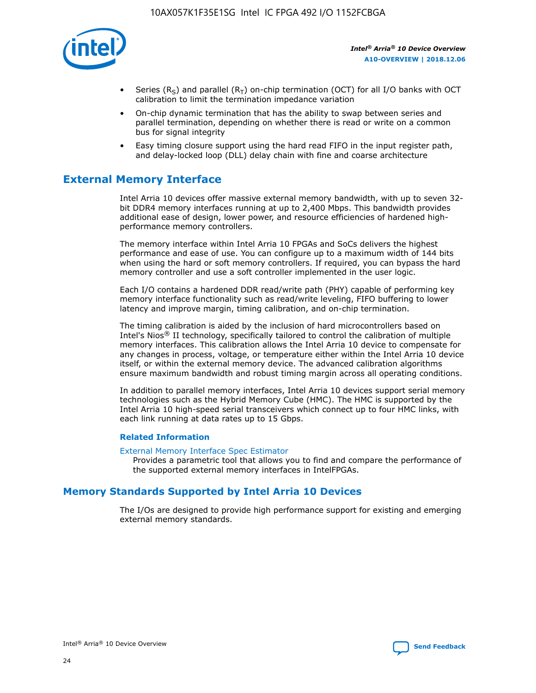

- Series (R<sub>S</sub>) and parallel (R<sub>T</sub>) on-chip termination (OCT) for all I/O banks with OCT calibration to limit the termination impedance variation
- On-chip dynamic termination that has the ability to swap between series and parallel termination, depending on whether there is read or write on a common bus for signal integrity
- Easy timing closure support using the hard read FIFO in the input register path, and delay-locked loop (DLL) delay chain with fine and coarse architecture

## **External Memory Interface**

Intel Arria 10 devices offer massive external memory bandwidth, with up to seven 32 bit DDR4 memory interfaces running at up to 2,400 Mbps. This bandwidth provides additional ease of design, lower power, and resource efficiencies of hardened highperformance memory controllers.

The memory interface within Intel Arria 10 FPGAs and SoCs delivers the highest performance and ease of use. You can configure up to a maximum width of 144 bits when using the hard or soft memory controllers. If required, you can bypass the hard memory controller and use a soft controller implemented in the user logic.

Each I/O contains a hardened DDR read/write path (PHY) capable of performing key memory interface functionality such as read/write leveling, FIFO buffering to lower latency and improve margin, timing calibration, and on-chip termination.

The timing calibration is aided by the inclusion of hard microcontrollers based on Intel's Nios® II technology, specifically tailored to control the calibration of multiple memory interfaces. This calibration allows the Intel Arria 10 device to compensate for any changes in process, voltage, or temperature either within the Intel Arria 10 device itself, or within the external memory device. The advanced calibration algorithms ensure maximum bandwidth and robust timing margin across all operating conditions.

In addition to parallel memory interfaces, Intel Arria 10 devices support serial memory technologies such as the Hybrid Memory Cube (HMC). The HMC is supported by the Intel Arria 10 high-speed serial transceivers which connect up to four HMC links, with each link running at data rates up to 15 Gbps.

### **Related Information**

#### [External Memory Interface Spec Estimator](http://www.altera.com/technology/memory/estimator/mem-emif-index.html)

Provides a parametric tool that allows you to find and compare the performance of the supported external memory interfaces in IntelFPGAs.

## **Memory Standards Supported by Intel Arria 10 Devices**

The I/Os are designed to provide high performance support for existing and emerging external memory standards.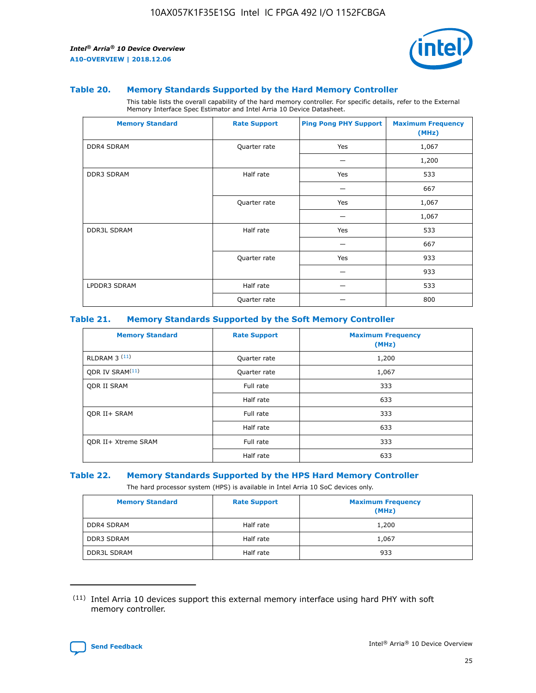

#### **Table 20. Memory Standards Supported by the Hard Memory Controller**

This table lists the overall capability of the hard memory controller. For specific details, refer to the External Memory Interface Spec Estimator and Intel Arria 10 Device Datasheet.

| <b>Memory Standard</b> | <b>Rate Support</b> | <b>Ping Pong PHY Support</b> | <b>Maximum Frequency</b><br>(MHz) |
|------------------------|---------------------|------------------------------|-----------------------------------|
| <b>DDR4 SDRAM</b>      | Quarter rate        | Yes                          | 1,067                             |
|                        |                     |                              | 1,200                             |
| DDR3 SDRAM             | Half rate           | Yes                          | 533                               |
|                        |                     |                              | 667                               |
|                        | Quarter rate        | Yes                          | 1,067                             |
|                        |                     |                              | 1,067                             |
| <b>DDR3L SDRAM</b>     | Half rate           | Yes                          | 533                               |
|                        |                     |                              | 667                               |
|                        | Quarter rate        | Yes                          | 933                               |
|                        |                     |                              | 933                               |
| LPDDR3 SDRAM           | Half rate           |                              | 533                               |
|                        | Quarter rate        |                              | 800                               |

### **Table 21. Memory Standards Supported by the Soft Memory Controller**

| <b>Memory Standard</b>      | <b>Rate Support</b> | <b>Maximum Frequency</b><br>(MHz) |
|-----------------------------|---------------------|-----------------------------------|
| <b>RLDRAM 3 (11)</b>        | Quarter rate        | 1,200                             |
| ODR IV SRAM <sup>(11)</sup> | Quarter rate        | 1,067                             |
| <b>ODR II SRAM</b>          | Full rate           | 333                               |
|                             | Half rate           | 633                               |
| <b>ODR II+ SRAM</b>         | Full rate           | 333                               |
|                             | Half rate           | 633                               |
| <b>ODR II+ Xtreme SRAM</b>  | Full rate           | 333                               |
|                             | Half rate           | 633                               |

#### **Table 22. Memory Standards Supported by the HPS Hard Memory Controller**

The hard processor system (HPS) is available in Intel Arria 10 SoC devices only.

| <b>Memory Standard</b> | <b>Rate Support</b> | <b>Maximum Frequency</b><br>(MHz) |
|------------------------|---------------------|-----------------------------------|
| <b>DDR4 SDRAM</b>      | Half rate           | 1,200                             |
| <b>DDR3 SDRAM</b>      | Half rate           | 1,067                             |
| <b>DDR3L SDRAM</b>     | Half rate           | 933                               |

<sup>(11)</sup> Intel Arria 10 devices support this external memory interface using hard PHY with soft memory controller.

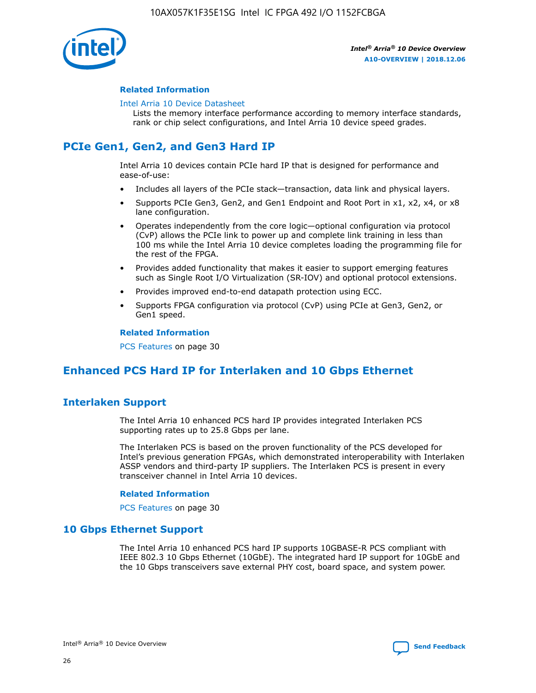

### **Related Information**

#### [Intel Arria 10 Device Datasheet](https://www.intel.com/content/www/us/en/programmable/documentation/mcn1413182292568.html#mcn1413182153340)

Lists the memory interface performance according to memory interface standards, rank or chip select configurations, and Intel Arria 10 device speed grades.

# **PCIe Gen1, Gen2, and Gen3 Hard IP**

Intel Arria 10 devices contain PCIe hard IP that is designed for performance and ease-of-use:

- Includes all layers of the PCIe stack—transaction, data link and physical layers.
- Supports PCIe Gen3, Gen2, and Gen1 Endpoint and Root Port in x1, x2, x4, or x8 lane configuration.
- Operates independently from the core logic—optional configuration via protocol (CvP) allows the PCIe link to power up and complete link training in less than 100 ms while the Intel Arria 10 device completes loading the programming file for the rest of the FPGA.
- Provides added functionality that makes it easier to support emerging features such as Single Root I/O Virtualization (SR-IOV) and optional protocol extensions.
- Provides improved end-to-end datapath protection using ECC.
- Supports FPGA configuration via protocol (CvP) using PCIe at Gen3, Gen2, or Gen1 speed.

#### **Related Information**

PCS Features on page 30

## **Enhanced PCS Hard IP for Interlaken and 10 Gbps Ethernet**

## **Interlaken Support**

The Intel Arria 10 enhanced PCS hard IP provides integrated Interlaken PCS supporting rates up to 25.8 Gbps per lane.

The Interlaken PCS is based on the proven functionality of the PCS developed for Intel's previous generation FPGAs, which demonstrated interoperability with Interlaken ASSP vendors and third-party IP suppliers. The Interlaken PCS is present in every transceiver channel in Intel Arria 10 devices.

### **Related Information**

PCS Features on page 30

## **10 Gbps Ethernet Support**

The Intel Arria 10 enhanced PCS hard IP supports 10GBASE-R PCS compliant with IEEE 802.3 10 Gbps Ethernet (10GbE). The integrated hard IP support for 10GbE and the 10 Gbps transceivers save external PHY cost, board space, and system power.

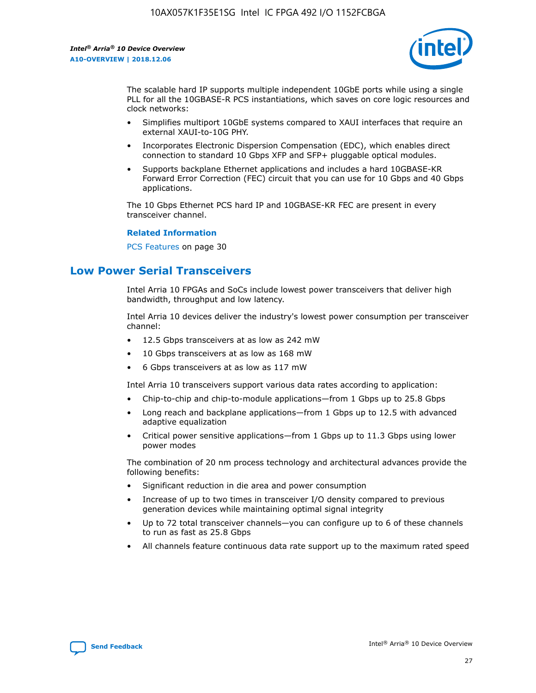

The scalable hard IP supports multiple independent 10GbE ports while using a single PLL for all the 10GBASE-R PCS instantiations, which saves on core logic resources and clock networks:

- Simplifies multiport 10GbE systems compared to XAUI interfaces that require an external XAUI-to-10G PHY.
- Incorporates Electronic Dispersion Compensation (EDC), which enables direct connection to standard 10 Gbps XFP and SFP+ pluggable optical modules.
- Supports backplane Ethernet applications and includes a hard 10GBASE-KR Forward Error Correction (FEC) circuit that you can use for 10 Gbps and 40 Gbps applications.

The 10 Gbps Ethernet PCS hard IP and 10GBASE-KR FEC are present in every transceiver channel.

#### **Related Information**

PCS Features on page 30

## **Low Power Serial Transceivers**

Intel Arria 10 FPGAs and SoCs include lowest power transceivers that deliver high bandwidth, throughput and low latency.

Intel Arria 10 devices deliver the industry's lowest power consumption per transceiver channel:

- 12.5 Gbps transceivers at as low as 242 mW
- 10 Gbps transceivers at as low as 168 mW
- 6 Gbps transceivers at as low as 117 mW

Intel Arria 10 transceivers support various data rates according to application:

- Chip-to-chip and chip-to-module applications—from 1 Gbps up to 25.8 Gbps
- Long reach and backplane applications—from 1 Gbps up to 12.5 with advanced adaptive equalization
- Critical power sensitive applications—from 1 Gbps up to 11.3 Gbps using lower power modes

The combination of 20 nm process technology and architectural advances provide the following benefits:

- Significant reduction in die area and power consumption
- Increase of up to two times in transceiver I/O density compared to previous generation devices while maintaining optimal signal integrity
- Up to 72 total transceiver channels—you can configure up to 6 of these channels to run as fast as 25.8 Gbps
- All channels feature continuous data rate support up to the maximum rated speed

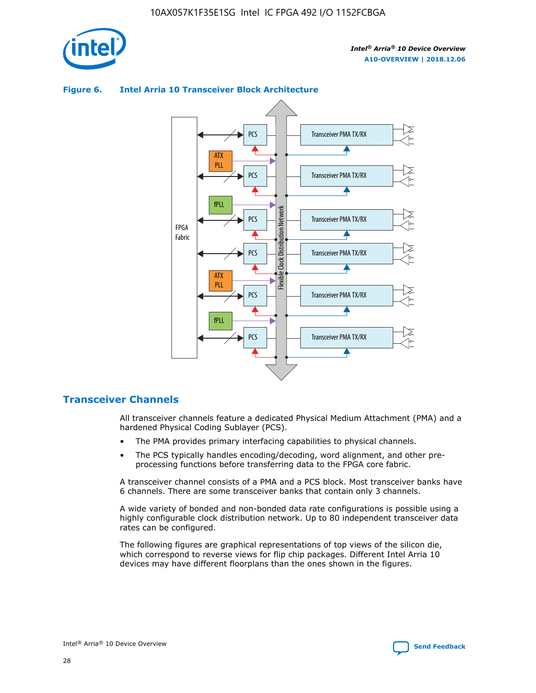



## **Figure 6. Intel Arria 10 Transceiver Block Architecture**

## **Transceiver Channels**

All transceiver channels feature a dedicated Physical Medium Attachment (PMA) and a hardened Physical Coding Sublayer (PCS).

- The PMA provides primary interfacing capabilities to physical channels.
- The PCS typically handles encoding/decoding, word alignment, and other preprocessing functions before transferring data to the FPGA core fabric.

A transceiver channel consists of a PMA and a PCS block. Most transceiver banks have 6 channels. There are some transceiver banks that contain only 3 channels.

A wide variety of bonded and non-bonded data rate configurations is possible using a highly configurable clock distribution network. Up to 80 independent transceiver data rates can be configured.

The following figures are graphical representations of top views of the silicon die, which correspond to reverse views for flip chip packages. Different Intel Arria 10 devices may have different floorplans than the ones shown in the figures.

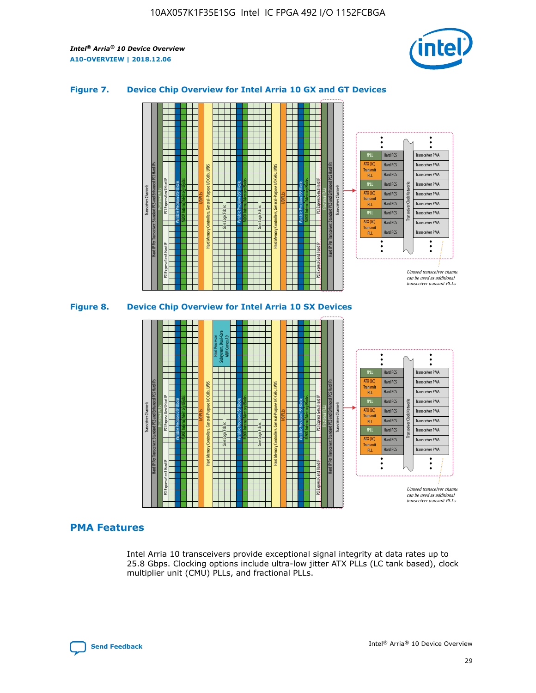

## **Figure 7. Device Chip Overview for Intel Arria 10 GX and GT Devices**





## **PMA Features**

Intel Arria 10 transceivers provide exceptional signal integrity at data rates up to 25.8 Gbps. Clocking options include ultra-low jitter ATX PLLs (LC tank based), clock multiplier unit (CMU) PLLs, and fractional PLLs.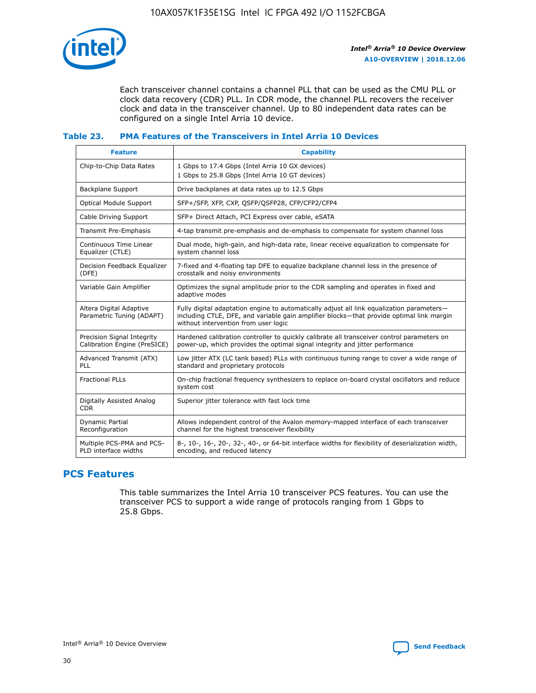

Each transceiver channel contains a channel PLL that can be used as the CMU PLL or clock data recovery (CDR) PLL. In CDR mode, the channel PLL recovers the receiver clock and data in the transceiver channel. Up to 80 independent data rates can be configured on a single Intel Arria 10 device.

## **Table 23. PMA Features of the Transceivers in Intel Arria 10 Devices**

| <b>Feature</b>                                             | <b>Capability</b>                                                                                                                                                                                                             |
|------------------------------------------------------------|-------------------------------------------------------------------------------------------------------------------------------------------------------------------------------------------------------------------------------|
| Chip-to-Chip Data Rates                                    | 1 Gbps to 17.4 Gbps (Intel Arria 10 GX devices)<br>1 Gbps to 25.8 Gbps (Intel Arria 10 GT devices)                                                                                                                            |
| <b>Backplane Support</b>                                   | Drive backplanes at data rates up to 12.5 Gbps                                                                                                                                                                                |
| <b>Optical Module Support</b>                              | SFP+/SFP, XFP, CXP, QSFP/QSFP28, CFP/CFP2/CFP4                                                                                                                                                                                |
| Cable Driving Support                                      | SFP+ Direct Attach, PCI Express over cable, eSATA                                                                                                                                                                             |
| Transmit Pre-Emphasis                                      | 4-tap transmit pre-emphasis and de-emphasis to compensate for system channel loss                                                                                                                                             |
| Continuous Time Linear<br>Equalizer (CTLE)                 | Dual mode, high-gain, and high-data rate, linear receive equalization to compensate for<br>system channel loss                                                                                                                |
| Decision Feedback Equalizer<br>(DFE)                       | 7-fixed and 4-floating tap DFE to equalize backplane channel loss in the presence of<br>crosstalk and noisy environments                                                                                                      |
| Variable Gain Amplifier                                    | Optimizes the signal amplitude prior to the CDR sampling and operates in fixed and<br>adaptive modes                                                                                                                          |
| Altera Digital Adaptive<br>Parametric Tuning (ADAPT)       | Fully digital adaptation engine to automatically adjust all link equalization parameters-<br>including CTLE, DFE, and variable gain amplifier blocks—that provide optimal link margin<br>without intervention from user logic |
| Precision Signal Integrity<br>Calibration Engine (PreSICE) | Hardened calibration controller to quickly calibrate all transceiver control parameters on<br>power-up, which provides the optimal signal integrity and jitter performance                                                    |
| Advanced Transmit (ATX)<br>PLL                             | Low jitter ATX (LC tank based) PLLs with continuous tuning range to cover a wide range of<br>standard and proprietary protocols                                                                                               |
| <b>Fractional PLLs</b>                                     | On-chip fractional frequency synthesizers to replace on-board crystal oscillators and reduce<br>system cost                                                                                                                   |
| Digitally Assisted Analog<br><b>CDR</b>                    | Superior jitter tolerance with fast lock time                                                                                                                                                                                 |
| Dynamic Partial<br>Reconfiguration                         | Allows independent control of the Avalon memory-mapped interface of each transceiver<br>channel for the highest transceiver flexibility                                                                                       |
| Multiple PCS-PMA and PCS-<br>PLD interface widths          | 8-, 10-, 16-, 20-, 32-, 40-, or 64-bit interface widths for flexibility of deserialization width,<br>encoding, and reduced latency                                                                                            |

## **PCS Features**

This table summarizes the Intel Arria 10 transceiver PCS features. You can use the transceiver PCS to support a wide range of protocols ranging from 1 Gbps to 25.8 Gbps.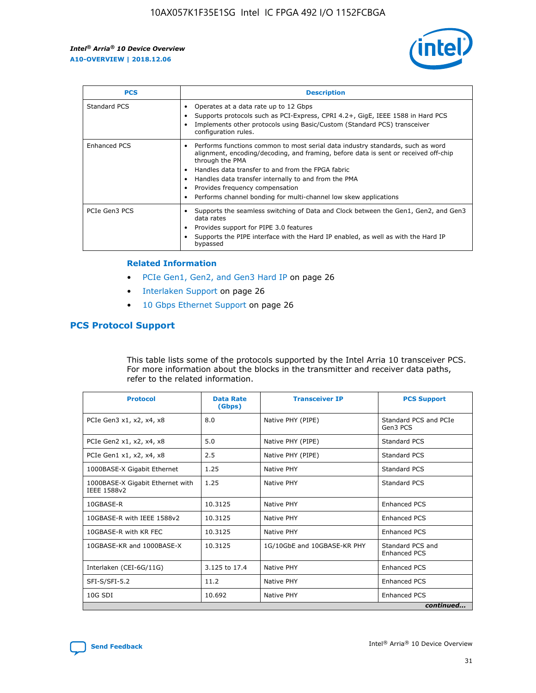

| <b>PCS</b>    | <b>Description</b>                                                                                                                                                                                                                                                                                                                                                                                             |
|---------------|----------------------------------------------------------------------------------------------------------------------------------------------------------------------------------------------------------------------------------------------------------------------------------------------------------------------------------------------------------------------------------------------------------------|
| Standard PCS  | Operates at a data rate up to 12 Gbps<br>Supports protocols such as PCI-Express, CPRI 4.2+, GigE, IEEE 1588 in Hard PCS<br>Implements other protocols using Basic/Custom (Standard PCS) transceiver<br>configuration rules.                                                                                                                                                                                    |
| Enhanced PCS  | Performs functions common to most serial data industry standards, such as word<br>alignment, encoding/decoding, and framing, before data is sent or received off-chip<br>through the PMA<br>• Handles data transfer to and from the FPGA fabric<br>Handles data transfer internally to and from the PMA<br>Provides frequency compensation<br>Performs channel bonding for multi-channel low skew applications |
| PCIe Gen3 PCS | Supports the seamless switching of Data and Clock between the Gen1, Gen2, and Gen3<br>data rates<br>Provides support for PIPE 3.0 features<br>Supports the PIPE interface with the Hard IP enabled, as well as with the Hard IP<br>bypassed                                                                                                                                                                    |

#### **Related Information**

- PCIe Gen1, Gen2, and Gen3 Hard IP on page 26
- Interlaken Support on page 26
- 10 Gbps Ethernet Support on page 26

## **PCS Protocol Support**

This table lists some of the protocols supported by the Intel Arria 10 transceiver PCS. For more information about the blocks in the transmitter and receiver data paths, refer to the related information.

| <b>Protocol</b>                                 | <b>Data Rate</b><br>(Gbps) | <b>Transceiver IP</b>       | <b>PCS Support</b>                      |
|-------------------------------------------------|----------------------------|-----------------------------|-----------------------------------------|
| PCIe Gen3 x1, x2, x4, x8                        | 8.0                        | Native PHY (PIPE)           | Standard PCS and PCIe<br>Gen3 PCS       |
| PCIe Gen2 x1, x2, x4, x8                        | 5.0                        | Native PHY (PIPE)           | <b>Standard PCS</b>                     |
| PCIe Gen1 x1, x2, x4, x8                        | 2.5                        | Native PHY (PIPE)           | Standard PCS                            |
| 1000BASE-X Gigabit Ethernet                     | 1.25                       | Native PHY                  | <b>Standard PCS</b>                     |
| 1000BASE-X Gigabit Ethernet with<br>IEEE 1588v2 | 1.25                       | Native PHY                  | Standard PCS                            |
| 10GBASE-R                                       | 10.3125                    | Native PHY                  | <b>Enhanced PCS</b>                     |
| 10GBASE-R with IEEE 1588v2                      | 10.3125                    | Native PHY                  | <b>Enhanced PCS</b>                     |
| 10GBASE-R with KR FEC                           | 10.3125                    | Native PHY                  | <b>Enhanced PCS</b>                     |
| 10GBASE-KR and 1000BASE-X                       | 10.3125                    | 1G/10GbE and 10GBASE-KR PHY | Standard PCS and<br><b>Enhanced PCS</b> |
| Interlaken (CEI-6G/11G)                         | 3.125 to 17.4              | Native PHY                  | <b>Enhanced PCS</b>                     |
| SFI-S/SFI-5.2                                   | 11.2                       | Native PHY                  | <b>Enhanced PCS</b>                     |
| $10G$ SDI                                       | 10.692                     | Native PHY                  | <b>Enhanced PCS</b>                     |
|                                                 |                            |                             | continued                               |

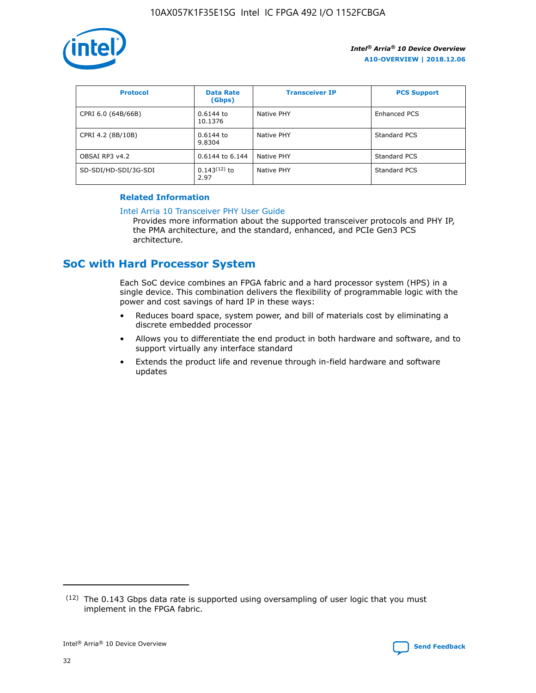

| <b>Protocol</b>      | <b>Data Rate</b><br>(Gbps) | <b>Transceiver IP</b> | <b>PCS Support</b> |
|----------------------|----------------------------|-----------------------|--------------------|
| CPRI 6.0 (64B/66B)   | 0.6144 to<br>10.1376       | Native PHY            | Enhanced PCS       |
| CPRI 4.2 (8B/10B)    | 0.6144 to<br>9.8304        | Native PHY            | Standard PCS       |
| OBSAI RP3 v4.2       | 0.6144 to 6.144            | Native PHY            | Standard PCS       |
| SD-SDI/HD-SDI/3G-SDI | $0.143(12)$ to<br>2.97     | Native PHY            | Standard PCS       |

## **Related Information**

#### [Intel Arria 10 Transceiver PHY User Guide](https://www.intel.com/content/www/us/en/programmable/documentation/nik1398707230472.html#nik1398707091164)

Provides more information about the supported transceiver protocols and PHY IP, the PMA architecture, and the standard, enhanced, and PCIe Gen3 PCS architecture.

## **SoC with Hard Processor System**

Each SoC device combines an FPGA fabric and a hard processor system (HPS) in a single device. This combination delivers the flexibility of programmable logic with the power and cost savings of hard IP in these ways:

- Reduces board space, system power, and bill of materials cost by eliminating a discrete embedded processor
- Allows you to differentiate the end product in both hardware and software, and to support virtually any interface standard
- Extends the product life and revenue through in-field hardware and software updates

<sup>(12)</sup> The 0.143 Gbps data rate is supported using oversampling of user logic that you must implement in the FPGA fabric.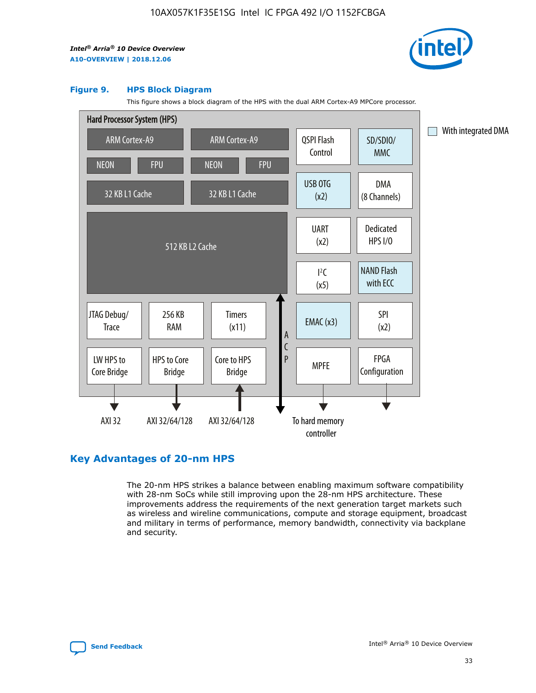

#### **Figure 9. HPS Block Diagram**

This figure shows a block diagram of the HPS with the dual ARM Cortex-A9 MPCore processor.



## **Key Advantages of 20-nm HPS**

The 20-nm HPS strikes a balance between enabling maximum software compatibility with 28-nm SoCs while still improving upon the 28-nm HPS architecture. These improvements address the requirements of the next generation target markets such as wireless and wireline communications, compute and storage equipment, broadcast and military in terms of performance, memory bandwidth, connectivity via backplane and security.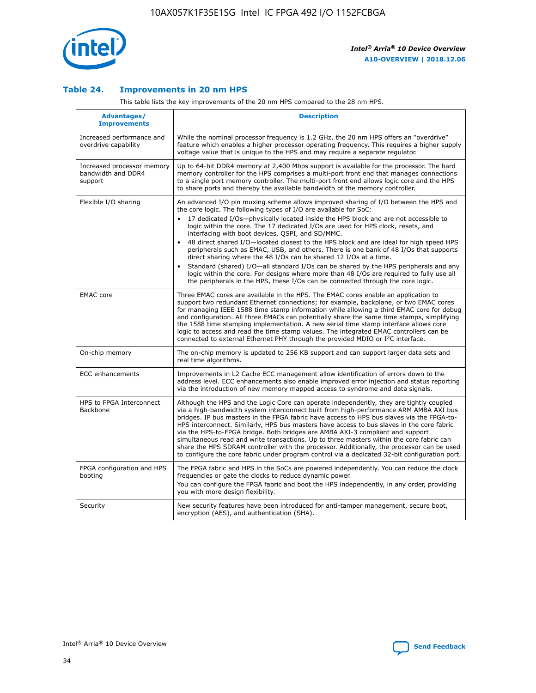

## **Table 24. Improvements in 20 nm HPS**

This table lists the key improvements of the 20 nm HPS compared to the 28 nm HPS.

| Advantages/<br><b>Improvements</b>                          | <b>Description</b>                                                                                                                                                                                                                                                                                                                                                                                                                                                                                                                                                                                                                                                                                                                                                                                                                                                                                                      |
|-------------------------------------------------------------|-------------------------------------------------------------------------------------------------------------------------------------------------------------------------------------------------------------------------------------------------------------------------------------------------------------------------------------------------------------------------------------------------------------------------------------------------------------------------------------------------------------------------------------------------------------------------------------------------------------------------------------------------------------------------------------------------------------------------------------------------------------------------------------------------------------------------------------------------------------------------------------------------------------------------|
| Increased performance and<br>overdrive capability           | While the nominal processor frequency is 1.2 GHz, the 20 nm HPS offers an "overdrive"<br>feature which enables a higher processor operating frequency. This requires a higher supply<br>voltage value that is unique to the HPS and may require a separate regulator.                                                                                                                                                                                                                                                                                                                                                                                                                                                                                                                                                                                                                                                   |
| Increased processor memory<br>bandwidth and DDR4<br>support | Up to 64-bit DDR4 memory at 2,400 Mbps support is available for the processor. The hard<br>memory controller for the HPS comprises a multi-port front end that manages connections<br>to a single port memory controller. The multi-port front end allows logic core and the HPS<br>to share ports and thereby the available bandwidth of the memory controller.                                                                                                                                                                                                                                                                                                                                                                                                                                                                                                                                                        |
| Flexible I/O sharing                                        | An advanced I/O pin muxing scheme allows improved sharing of I/O between the HPS and<br>the core logic. The following types of I/O are available for SoC:<br>17 dedicated I/Os-physically located inside the HPS block and are not accessible to<br>logic within the core. The 17 dedicated I/Os are used for HPS clock, resets, and<br>interfacing with boot devices, QSPI, and SD/MMC.<br>48 direct shared I/O-located closest to the HPS block and are ideal for high speed HPS<br>peripherals such as EMAC, USB, and others. There is one bank of 48 I/Os that supports<br>direct sharing where the 48 I/Os can be shared 12 I/Os at a time.<br>Standard (shared) I/O—all standard I/Os can be shared by the HPS peripherals and any<br>logic within the core. For designs where more than 48 I/Os are required to fully use all<br>the peripherals in the HPS, these I/Os can be connected through the core logic. |
| <b>EMAC</b> core                                            | Three EMAC cores are available in the HPS. The EMAC cores enable an application to<br>support two redundant Ethernet connections; for example, backplane, or two EMAC cores<br>for managing IEEE 1588 time stamp information while allowing a third EMAC core for debug<br>and configuration. All three EMACs can potentially share the same time stamps, simplifying<br>the 1588 time stamping implementation. A new serial time stamp interface allows core<br>logic to access and read the time stamp values. The integrated EMAC controllers can be<br>connected to external Ethernet PHY through the provided MDIO or I <sup>2</sup> C interface.                                                                                                                                                                                                                                                                  |
| On-chip memory                                              | The on-chip memory is updated to 256 KB support and can support larger data sets and<br>real time algorithms.                                                                                                                                                                                                                                                                                                                                                                                                                                                                                                                                                                                                                                                                                                                                                                                                           |
| ECC enhancements                                            | Improvements in L2 Cache ECC management allow identification of errors down to the<br>address level. ECC enhancements also enable improved error injection and status reporting<br>via the introduction of new memory mapped access to syndrome and data signals.                                                                                                                                                                                                                                                                                                                                                                                                                                                                                                                                                                                                                                                       |
| HPS to FPGA Interconnect<br>Backbone                        | Although the HPS and the Logic Core can operate independently, they are tightly coupled<br>via a high-bandwidth system interconnect built from high-performance ARM AMBA AXI bus<br>bridges. IP bus masters in the FPGA fabric have access to HPS bus slaves via the FPGA-to-<br>HPS interconnect. Similarly, HPS bus masters have access to bus slaves in the core fabric<br>via the HPS-to-FPGA bridge. Both bridges are AMBA AXI-3 compliant and support<br>simultaneous read and write transactions. Up to three masters within the core fabric can<br>share the HPS SDRAM controller with the processor. Additionally, the processor can be used<br>to configure the core fabric under program control via a dedicated 32-bit configuration port.                                                                                                                                                                  |
| FPGA configuration and HPS<br>booting                       | The FPGA fabric and HPS in the SoCs are powered independently. You can reduce the clock<br>frequencies or gate the clocks to reduce dynamic power.<br>You can configure the FPGA fabric and boot the HPS independently, in any order, providing<br>you with more design flexibility.                                                                                                                                                                                                                                                                                                                                                                                                                                                                                                                                                                                                                                    |
| Security                                                    | New security features have been introduced for anti-tamper management, secure boot,<br>encryption (AES), and authentication (SHA).                                                                                                                                                                                                                                                                                                                                                                                                                                                                                                                                                                                                                                                                                                                                                                                      |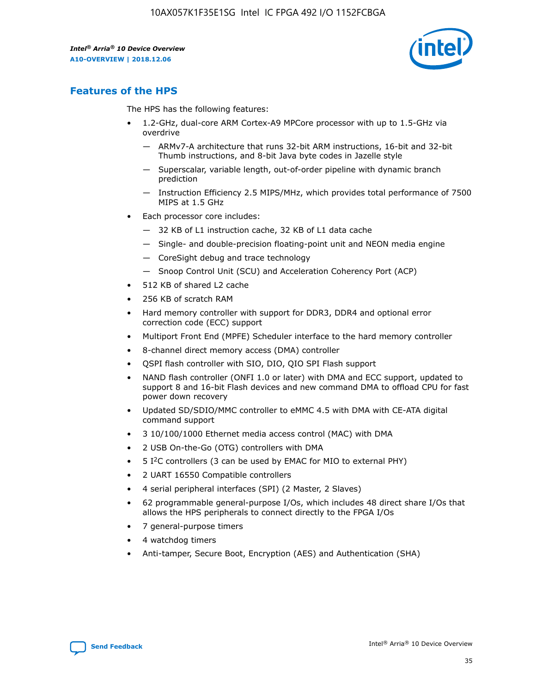

## **Features of the HPS**

The HPS has the following features:

- 1.2-GHz, dual-core ARM Cortex-A9 MPCore processor with up to 1.5-GHz via overdrive
	- ARMv7-A architecture that runs 32-bit ARM instructions, 16-bit and 32-bit Thumb instructions, and 8-bit Java byte codes in Jazelle style
	- Superscalar, variable length, out-of-order pipeline with dynamic branch prediction
	- Instruction Efficiency 2.5 MIPS/MHz, which provides total performance of 7500 MIPS at 1.5 GHz
- Each processor core includes:
	- 32 KB of L1 instruction cache, 32 KB of L1 data cache
	- Single- and double-precision floating-point unit and NEON media engine
	- CoreSight debug and trace technology
	- Snoop Control Unit (SCU) and Acceleration Coherency Port (ACP)
- 512 KB of shared L2 cache
- 256 KB of scratch RAM
- Hard memory controller with support for DDR3, DDR4 and optional error correction code (ECC) support
- Multiport Front End (MPFE) Scheduler interface to the hard memory controller
- 8-channel direct memory access (DMA) controller
- QSPI flash controller with SIO, DIO, QIO SPI Flash support
- NAND flash controller (ONFI 1.0 or later) with DMA and ECC support, updated to support 8 and 16-bit Flash devices and new command DMA to offload CPU for fast power down recovery
- Updated SD/SDIO/MMC controller to eMMC 4.5 with DMA with CE-ATA digital command support
- 3 10/100/1000 Ethernet media access control (MAC) with DMA
- 2 USB On-the-Go (OTG) controllers with DMA
- $\bullet$  5 I<sup>2</sup>C controllers (3 can be used by EMAC for MIO to external PHY)
- 2 UART 16550 Compatible controllers
- 4 serial peripheral interfaces (SPI) (2 Master, 2 Slaves)
- 62 programmable general-purpose I/Os, which includes 48 direct share I/Os that allows the HPS peripherals to connect directly to the FPGA I/Os
- 7 general-purpose timers
- 4 watchdog timers
- Anti-tamper, Secure Boot, Encryption (AES) and Authentication (SHA)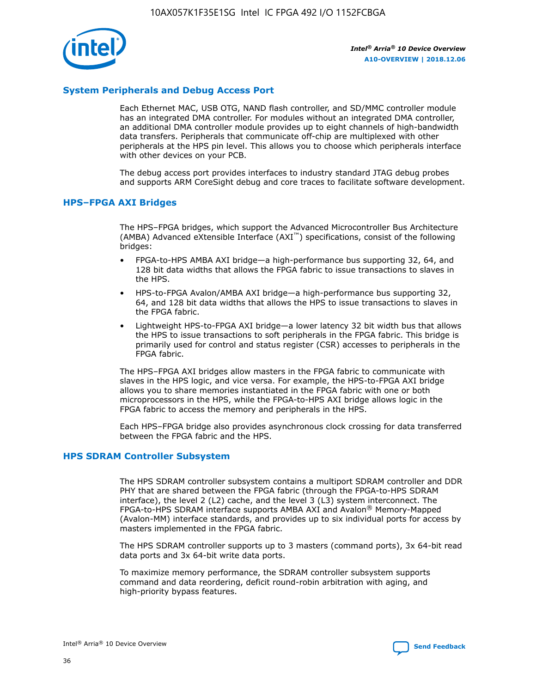

## **System Peripherals and Debug Access Port**

Each Ethernet MAC, USB OTG, NAND flash controller, and SD/MMC controller module has an integrated DMA controller. For modules without an integrated DMA controller, an additional DMA controller module provides up to eight channels of high-bandwidth data transfers. Peripherals that communicate off-chip are multiplexed with other peripherals at the HPS pin level. This allows you to choose which peripherals interface with other devices on your PCB.

The debug access port provides interfaces to industry standard JTAG debug probes and supports ARM CoreSight debug and core traces to facilitate software development.

## **HPS–FPGA AXI Bridges**

The HPS–FPGA bridges, which support the Advanced Microcontroller Bus Architecture (AMBA) Advanced eXtensible Interface (AXI™) specifications, consist of the following bridges:

- FPGA-to-HPS AMBA AXI bridge—a high-performance bus supporting 32, 64, and 128 bit data widths that allows the FPGA fabric to issue transactions to slaves in the HPS.
- HPS-to-FPGA Avalon/AMBA AXI bridge—a high-performance bus supporting 32, 64, and 128 bit data widths that allows the HPS to issue transactions to slaves in the FPGA fabric.
- Lightweight HPS-to-FPGA AXI bridge—a lower latency 32 bit width bus that allows the HPS to issue transactions to soft peripherals in the FPGA fabric. This bridge is primarily used for control and status register (CSR) accesses to peripherals in the FPGA fabric.

The HPS–FPGA AXI bridges allow masters in the FPGA fabric to communicate with slaves in the HPS logic, and vice versa. For example, the HPS-to-FPGA AXI bridge allows you to share memories instantiated in the FPGA fabric with one or both microprocessors in the HPS, while the FPGA-to-HPS AXI bridge allows logic in the FPGA fabric to access the memory and peripherals in the HPS.

Each HPS–FPGA bridge also provides asynchronous clock crossing for data transferred between the FPGA fabric and the HPS.

### **HPS SDRAM Controller Subsystem**

The HPS SDRAM controller subsystem contains a multiport SDRAM controller and DDR PHY that are shared between the FPGA fabric (through the FPGA-to-HPS SDRAM interface), the level 2 (L2) cache, and the level 3 (L3) system interconnect. The FPGA-to-HPS SDRAM interface supports AMBA AXI and Avalon® Memory-Mapped (Avalon-MM) interface standards, and provides up to six individual ports for access by masters implemented in the FPGA fabric.

The HPS SDRAM controller supports up to 3 masters (command ports), 3x 64-bit read data ports and 3x 64-bit write data ports.

To maximize memory performance, the SDRAM controller subsystem supports command and data reordering, deficit round-robin arbitration with aging, and high-priority bypass features.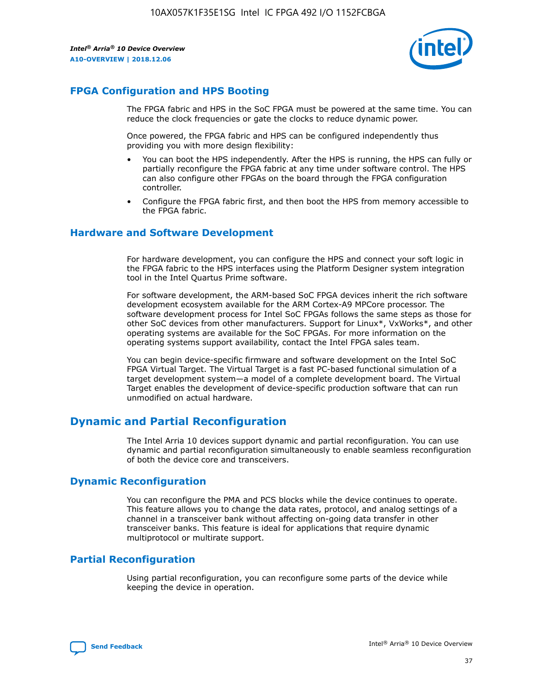

## **FPGA Configuration and HPS Booting**

The FPGA fabric and HPS in the SoC FPGA must be powered at the same time. You can reduce the clock frequencies or gate the clocks to reduce dynamic power.

Once powered, the FPGA fabric and HPS can be configured independently thus providing you with more design flexibility:

- You can boot the HPS independently. After the HPS is running, the HPS can fully or partially reconfigure the FPGA fabric at any time under software control. The HPS can also configure other FPGAs on the board through the FPGA configuration controller.
- Configure the FPGA fabric first, and then boot the HPS from memory accessible to the FPGA fabric.

## **Hardware and Software Development**

For hardware development, you can configure the HPS and connect your soft logic in the FPGA fabric to the HPS interfaces using the Platform Designer system integration tool in the Intel Quartus Prime software.

For software development, the ARM-based SoC FPGA devices inherit the rich software development ecosystem available for the ARM Cortex-A9 MPCore processor. The software development process for Intel SoC FPGAs follows the same steps as those for other SoC devices from other manufacturers. Support for Linux\*, VxWorks\*, and other operating systems are available for the SoC FPGAs. For more information on the operating systems support availability, contact the Intel FPGA sales team.

You can begin device-specific firmware and software development on the Intel SoC FPGA Virtual Target. The Virtual Target is a fast PC-based functional simulation of a target development system—a model of a complete development board. The Virtual Target enables the development of device-specific production software that can run unmodified on actual hardware.

## **Dynamic and Partial Reconfiguration**

The Intel Arria 10 devices support dynamic and partial reconfiguration. You can use dynamic and partial reconfiguration simultaneously to enable seamless reconfiguration of both the device core and transceivers.

## **Dynamic Reconfiguration**

You can reconfigure the PMA and PCS blocks while the device continues to operate. This feature allows you to change the data rates, protocol, and analog settings of a channel in a transceiver bank without affecting on-going data transfer in other transceiver banks. This feature is ideal for applications that require dynamic multiprotocol or multirate support.

## **Partial Reconfiguration**

Using partial reconfiguration, you can reconfigure some parts of the device while keeping the device in operation.

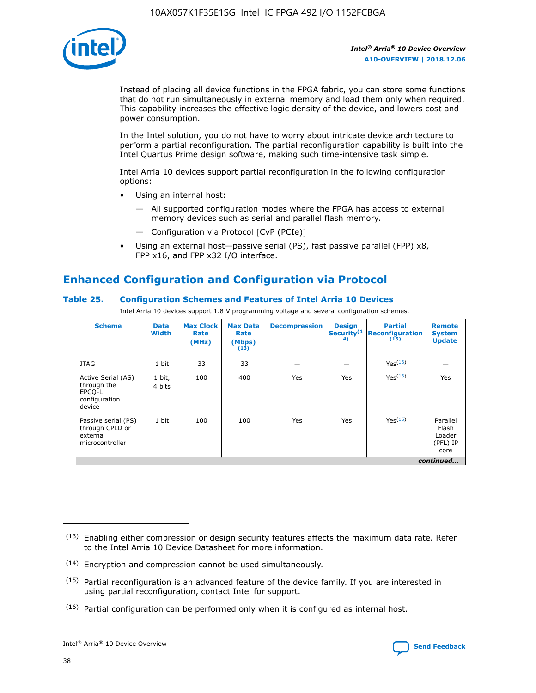

Instead of placing all device functions in the FPGA fabric, you can store some functions that do not run simultaneously in external memory and load them only when required. This capability increases the effective logic density of the device, and lowers cost and power consumption.

In the Intel solution, you do not have to worry about intricate device architecture to perform a partial reconfiguration. The partial reconfiguration capability is built into the Intel Quartus Prime design software, making such time-intensive task simple.

Intel Arria 10 devices support partial reconfiguration in the following configuration options:

- Using an internal host:
	- All supported configuration modes where the FPGA has access to external memory devices such as serial and parallel flash memory.
	- Configuration via Protocol [CvP (PCIe)]
- Using an external host—passive serial (PS), fast passive parallel (FPP) x8, FPP x16, and FPP x32 I/O interface.

# **Enhanced Configuration and Configuration via Protocol**

## **Table 25. Configuration Schemes and Features of Intel Arria 10 Devices**

Intel Arria 10 devices support 1.8 V programming voltage and several configuration schemes.

| <b>Scheme</b>                                                          | <b>Data</b><br><b>Width</b> | <b>Max Clock</b><br>Rate<br>(MHz) | <b>Max Data</b><br>Rate<br>(Mbps)<br>(13) | <b>Decompression</b> | <b>Design</b><br>Security <sup>(1</sup><br>4) | <b>Partial</b><br><b>Reconfiguration</b><br>(15) | <b>Remote</b><br><b>System</b><br><b>Update</b> |
|------------------------------------------------------------------------|-----------------------------|-----------------------------------|-------------------------------------------|----------------------|-----------------------------------------------|--------------------------------------------------|-------------------------------------------------|
| <b>JTAG</b>                                                            | 1 bit                       | 33                                | 33                                        |                      |                                               | Yes(16)                                          |                                                 |
| Active Serial (AS)<br>through the<br>EPCO-L<br>configuration<br>device | 1 bit,<br>4 bits            | 100                               | 400                                       | Yes                  | Yes                                           | $Y_{PS}(16)$                                     | Yes                                             |
| Passive serial (PS)<br>through CPLD or<br>external<br>microcontroller  | 1 bit                       | 100                               | 100                                       | Yes                  | Yes                                           | Yes(16)                                          | Parallel<br>Flash<br>Loader<br>(PFL) IP<br>core |
|                                                                        |                             |                                   |                                           |                      |                                               |                                                  | continued                                       |

<sup>(13)</sup> Enabling either compression or design security features affects the maximum data rate. Refer to the Intel Arria 10 Device Datasheet for more information.

<sup>(14)</sup> Encryption and compression cannot be used simultaneously.

 $(15)$  Partial reconfiguration is an advanced feature of the device family. If you are interested in using partial reconfiguration, contact Intel for support.

 $(16)$  Partial configuration can be performed only when it is configured as internal host.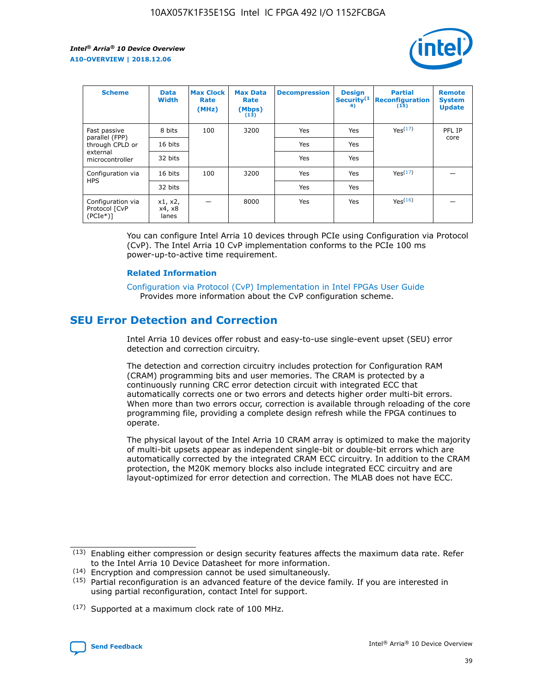

| <b>Scheme</b>                                   | <b>Data</b><br><b>Width</b> | <b>Max Clock</b><br>Rate<br>(MHz) | <b>Max Data</b><br>Rate<br>(Mbps)<br>(13) | <b>Decompression</b> | <b>Design</b><br>Security <sup>(1</sup><br>4) | <b>Partial</b><br><b>Reconfiguration</b><br>(15) | <b>Remote</b><br><b>System</b><br><b>Update</b> |
|-------------------------------------------------|-----------------------------|-----------------------------------|-------------------------------------------|----------------------|-----------------------------------------------|--------------------------------------------------|-------------------------------------------------|
| Fast passive                                    | 8 bits                      | 100                               | 3200                                      | Yes                  | Yes                                           | Yes(17)                                          | PFL IP                                          |
| parallel (FPP)<br>through CPLD or               | 16 bits                     |                                   |                                           | Yes                  | Yes                                           |                                                  | core                                            |
| external<br>microcontroller                     | 32 bits                     |                                   |                                           | Yes                  | Yes                                           |                                                  |                                                 |
| Configuration via                               | 16 bits                     | 100                               | 3200                                      | Yes                  | Yes                                           | Yes <sup>(17)</sup>                              |                                                 |
| <b>HPS</b>                                      | 32 bits                     |                                   |                                           | Yes                  | Yes                                           |                                                  |                                                 |
| Configuration via<br>Protocol [CvP<br>$(PCIe*)$ | x1, x2,<br>x4, x8<br>lanes  |                                   | 8000                                      | Yes                  | Yes                                           | Yes(16)                                          |                                                 |

You can configure Intel Arria 10 devices through PCIe using Configuration via Protocol (CvP). The Intel Arria 10 CvP implementation conforms to the PCIe 100 ms power-up-to-active time requirement.

### **Related Information**

[Configuration via Protocol \(CvP\) Implementation in Intel FPGAs User Guide](https://www.intel.com/content/www/us/en/programmable/documentation/dsu1441819344145.html#dsu1442269728522) Provides more information about the CvP configuration scheme.

## **SEU Error Detection and Correction**

Intel Arria 10 devices offer robust and easy-to-use single-event upset (SEU) error detection and correction circuitry.

The detection and correction circuitry includes protection for Configuration RAM (CRAM) programming bits and user memories. The CRAM is protected by a continuously running CRC error detection circuit with integrated ECC that automatically corrects one or two errors and detects higher order multi-bit errors. When more than two errors occur, correction is available through reloading of the core programming file, providing a complete design refresh while the FPGA continues to operate.

The physical layout of the Intel Arria 10 CRAM array is optimized to make the majority of multi-bit upsets appear as independent single-bit or double-bit errors which are automatically corrected by the integrated CRAM ECC circuitry. In addition to the CRAM protection, the M20K memory blocks also include integrated ECC circuitry and are layout-optimized for error detection and correction. The MLAB does not have ECC.

(14) Encryption and compression cannot be used simultaneously.

<sup>(17)</sup> Supported at a maximum clock rate of 100 MHz.



 $(13)$  Enabling either compression or design security features affects the maximum data rate. Refer to the Intel Arria 10 Device Datasheet for more information.

 $(15)$  Partial reconfiguration is an advanced feature of the device family. If you are interested in using partial reconfiguration, contact Intel for support.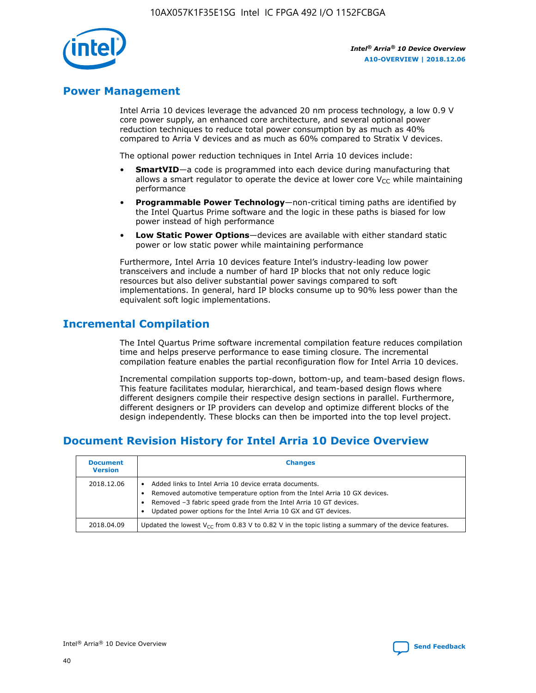

## **Power Management**

Intel Arria 10 devices leverage the advanced 20 nm process technology, a low 0.9 V core power supply, an enhanced core architecture, and several optional power reduction techniques to reduce total power consumption by as much as 40% compared to Arria V devices and as much as 60% compared to Stratix V devices.

The optional power reduction techniques in Intel Arria 10 devices include:

- **SmartVID**—a code is programmed into each device during manufacturing that allows a smart regulator to operate the device at lower core  $V_{CC}$  while maintaining performance
- **Programmable Power Technology**—non-critical timing paths are identified by the Intel Quartus Prime software and the logic in these paths is biased for low power instead of high performance
- **Low Static Power Options**—devices are available with either standard static power or low static power while maintaining performance

Furthermore, Intel Arria 10 devices feature Intel's industry-leading low power transceivers and include a number of hard IP blocks that not only reduce logic resources but also deliver substantial power savings compared to soft implementations. In general, hard IP blocks consume up to 90% less power than the equivalent soft logic implementations.

## **Incremental Compilation**

The Intel Quartus Prime software incremental compilation feature reduces compilation time and helps preserve performance to ease timing closure. The incremental compilation feature enables the partial reconfiguration flow for Intel Arria 10 devices.

Incremental compilation supports top-down, bottom-up, and team-based design flows. This feature facilitates modular, hierarchical, and team-based design flows where different designers compile their respective design sections in parallel. Furthermore, different designers or IP providers can develop and optimize different blocks of the design independently. These blocks can then be imported into the top level project.

# **Document Revision History for Intel Arria 10 Device Overview**

| <b>Document</b><br><b>Version</b> | <b>Changes</b>                                                                                                                                                                                                                                                              |
|-----------------------------------|-----------------------------------------------------------------------------------------------------------------------------------------------------------------------------------------------------------------------------------------------------------------------------|
| 2018.12.06                        | Added links to Intel Arria 10 device errata documents.<br>Removed automotive temperature option from the Intel Arria 10 GX devices.<br>Removed -3 fabric speed grade from the Intel Arria 10 GT devices.<br>Updated power options for the Intel Arria 10 GX and GT devices. |
| 2018.04.09                        | Updated the lowest $V_{CC}$ from 0.83 V to 0.82 V in the topic listing a summary of the device features.                                                                                                                                                                    |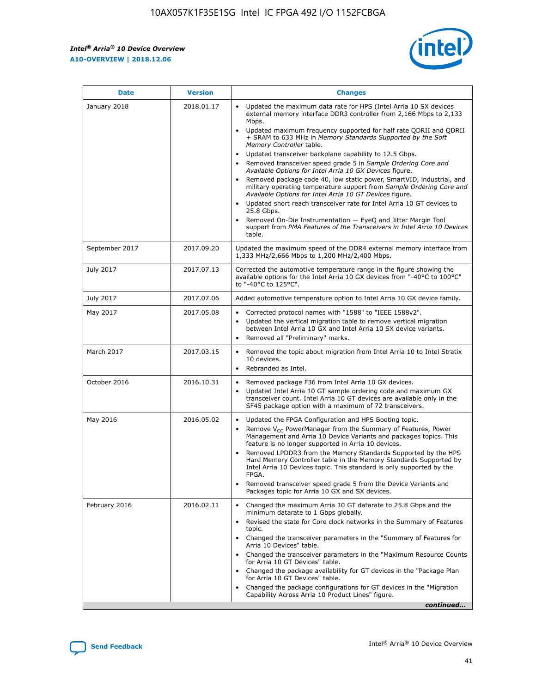$\mathsf{r}$ 



| January 2018<br>Updated the maximum data rate for HPS (Intel Arria 10 SX devices<br>2018.01.17<br>external memory interface DDR3 controller from 2,166 Mbps to 2,133<br>Mbps.<br>$\bullet$<br>+ SRAM to 633 MHz in Memory Standards Supported by the Soft<br>Memory Controller table.<br>Updated transceiver backplane capability to 12.5 Gbps.<br>$\bullet$<br>Removed transceiver speed grade 5 in Sample Ordering Core and<br>Available Options for Intel Arria 10 GX Devices figure.<br>Available Options for Intel Arria 10 GT Devices figure.<br>Updated short reach transceiver rate for Intel Arria 10 GT devices to<br>$\bullet$<br>25.8 Gbps.<br>Removed On-Die Instrumentation - EyeQ and Jitter Margin Tool<br>table.<br>2017.09.20<br>September 2017<br>1,333 MHz/2,666 Mbps to 1,200 MHz/2,400 Mbps.<br>July 2017<br>2017.07.13<br>Corrected the automotive temperature range in the figure showing the<br>available options for the Intel Arria 10 GX devices from "-40°C to 100°C"<br>to "-40°C to 125°C".<br>July 2017<br>2017.07.06<br>Added automotive temperature option to Intel Arria 10 GX device family.<br>2017.05.08<br>Corrected protocol names with "1588" to "IEEE 1588v2".<br>May 2017<br>$\bullet$<br>Updated the vertical migration table to remove vertical migration<br>$\bullet$<br>between Intel Arria 10 GX and Intel Arria 10 SX device variants.<br>Removed all "Preliminary" marks.<br>2017.03.15<br>March 2017<br>Removed the topic about migration from Intel Arria 10 to Intel Stratix<br>10 devices.<br>Rebranded as Intel.<br>$\bullet$<br>October 2016<br>2016.10.31<br>Removed package F36 from Intel Arria 10 GX devices.<br>$\bullet$<br>Updated Intel Arria 10 GT sample ordering code and maximum GX<br>$\bullet$<br>transceiver count. Intel Arria 10 GT devices are available only in the<br>SF45 package option with a maximum of 72 transceivers.<br>May 2016<br>2016.05.02<br>Updated the FPGA Configuration and HPS Booting topic.<br>Remove $V_{CC}$ PowerManager from the Summary of Features, Power<br>Management and Arria 10 Device Variants and packages topics. This<br>feature is no longer supported in Arria 10 devices.<br>Removed LPDDR3 from the Memory Standards Supported by the HPS<br>Hard Memory Controller table in the Memory Standards Supported by<br>Intel Arria 10 Devices topic. This standard is only supported by the<br>FPGA.<br>Removed transceiver speed grade 5 from the Device Variants and<br>Packages topic for Arria 10 GX and SX devices.<br>Changed the maximum Arria 10 GT datarate to 25.8 Gbps and the<br>February 2016<br>2016.02.11<br>minimum datarate to 1 Gbps globally.<br>Revised the state for Core clock networks in the Summary of Features<br>$\bullet$<br>topic.<br>• Changed the transceiver parameters in the "Summary of Features for<br>Arria 10 Devices" table.<br>for Arria 10 GT Devices" table.<br>• Changed the package availability for GT devices in the "Package Plan<br>for Arria 10 GT Devices" table.<br>Changed the package configurations for GT devices in the "Migration"<br>Capability Across Arria 10 Product Lines" figure. | <b>Date</b> | <b>Version</b> | <b>Changes</b>                                                                                                                                                                                                                                                                               |
|----------------------------------------------------------------------------------------------------------------------------------------------------------------------------------------------------------------------------------------------------------------------------------------------------------------------------------------------------------------------------------------------------------------------------------------------------------------------------------------------------------------------------------------------------------------------------------------------------------------------------------------------------------------------------------------------------------------------------------------------------------------------------------------------------------------------------------------------------------------------------------------------------------------------------------------------------------------------------------------------------------------------------------------------------------------------------------------------------------------------------------------------------------------------------------------------------------------------------------------------------------------------------------------------------------------------------------------------------------------------------------------------------------------------------------------------------------------------------------------------------------------------------------------------------------------------------------------------------------------------------------------------------------------------------------------------------------------------------------------------------------------------------------------------------------------------------------------------------------------------------------------------------------------------------------------------------------------------------------------------------------------------------------------------------------------------------------------------------------------------------------------------------------------------------------------------------------------------------------------------------------------------------------------------------------------------------------------------------------------------------------------------------------------------------------------------------------------------------------------------------------------------------------------------------------------------------------------------------------------------------------------------------------------------------------------------------------------------------------------------------------------------------------------------------------------------------------------------------------------------------------------------------------------------------------------------------------------------------------------------------------------------------------------------------------------------------------------------------------------------------------------------------------------|-------------|----------------|----------------------------------------------------------------------------------------------------------------------------------------------------------------------------------------------------------------------------------------------------------------------------------------------|
|                                                                                                                                                                                                                                                                                                                                                                                                                                                                                                                                                                                                                                                                                                                                                                                                                                                                                                                                                                                                                                                                                                                                                                                                                                                                                                                                                                                                                                                                                                                                                                                                                                                                                                                                                                                                                                                                                                                                                                                                                                                                                                                                                                                                                                                                                                                                                                                                                                                                                                                                                                                                                                                                                                                                                                                                                                                                                                                                                                                                                                                                                                                                                                |             |                | Updated maximum frequency supported for half rate QDRII and QDRII<br>Removed package code 40, low static power, SmartVID, industrial, and<br>military operating temperature support from Sample Ordering Core and<br>support from PMA Features of the Transceivers in Intel Arria 10 Devices |
|                                                                                                                                                                                                                                                                                                                                                                                                                                                                                                                                                                                                                                                                                                                                                                                                                                                                                                                                                                                                                                                                                                                                                                                                                                                                                                                                                                                                                                                                                                                                                                                                                                                                                                                                                                                                                                                                                                                                                                                                                                                                                                                                                                                                                                                                                                                                                                                                                                                                                                                                                                                                                                                                                                                                                                                                                                                                                                                                                                                                                                                                                                                                                                |             |                | Updated the maximum speed of the DDR4 external memory interface from                                                                                                                                                                                                                         |
|                                                                                                                                                                                                                                                                                                                                                                                                                                                                                                                                                                                                                                                                                                                                                                                                                                                                                                                                                                                                                                                                                                                                                                                                                                                                                                                                                                                                                                                                                                                                                                                                                                                                                                                                                                                                                                                                                                                                                                                                                                                                                                                                                                                                                                                                                                                                                                                                                                                                                                                                                                                                                                                                                                                                                                                                                                                                                                                                                                                                                                                                                                                                                                |             |                |                                                                                                                                                                                                                                                                                              |
|                                                                                                                                                                                                                                                                                                                                                                                                                                                                                                                                                                                                                                                                                                                                                                                                                                                                                                                                                                                                                                                                                                                                                                                                                                                                                                                                                                                                                                                                                                                                                                                                                                                                                                                                                                                                                                                                                                                                                                                                                                                                                                                                                                                                                                                                                                                                                                                                                                                                                                                                                                                                                                                                                                                                                                                                                                                                                                                                                                                                                                                                                                                                                                |             |                |                                                                                                                                                                                                                                                                                              |
|                                                                                                                                                                                                                                                                                                                                                                                                                                                                                                                                                                                                                                                                                                                                                                                                                                                                                                                                                                                                                                                                                                                                                                                                                                                                                                                                                                                                                                                                                                                                                                                                                                                                                                                                                                                                                                                                                                                                                                                                                                                                                                                                                                                                                                                                                                                                                                                                                                                                                                                                                                                                                                                                                                                                                                                                                                                                                                                                                                                                                                                                                                                                                                |             |                |                                                                                                                                                                                                                                                                                              |
|                                                                                                                                                                                                                                                                                                                                                                                                                                                                                                                                                                                                                                                                                                                                                                                                                                                                                                                                                                                                                                                                                                                                                                                                                                                                                                                                                                                                                                                                                                                                                                                                                                                                                                                                                                                                                                                                                                                                                                                                                                                                                                                                                                                                                                                                                                                                                                                                                                                                                                                                                                                                                                                                                                                                                                                                                                                                                                                                                                                                                                                                                                                                                                |             |                |                                                                                                                                                                                                                                                                                              |
|                                                                                                                                                                                                                                                                                                                                                                                                                                                                                                                                                                                                                                                                                                                                                                                                                                                                                                                                                                                                                                                                                                                                                                                                                                                                                                                                                                                                                                                                                                                                                                                                                                                                                                                                                                                                                                                                                                                                                                                                                                                                                                                                                                                                                                                                                                                                                                                                                                                                                                                                                                                                                                                                                                                                                                                                                                                                                                                                                                                                                                                                                                                                                                |             |                |                                                                                                                                                                                                                                                                                              |
|                                                                                                                                                                                                                                                                                                                                                                                                                                                                                                                                                                                                                                                                                                                                                                                                                                                                                                                                                                                                                                                                                                                                                                                                                                                                                                                                                                                                                                                                                                                                                                                                                                                                                                                                                                                                                                                                                                                                                                                                                                                                                                                                                                                                                                                                                                                                                                                                                                                                                                                                                                                                                                                                                                                                                                                                                                                                                                                                                                                                                                                                                                                                                                |             |                |                                                                                                                                                                                                                                                                                              |
|                                                                                                                                                                                                                                                                                                                                                                                                                                                                                                                                                                                                                                                                                                                                                                                                                                                                                                                                                                                                                                                                                                                                                                                                                                                                                                                                                                                                                                                                                                                                                                                                                                                                                                                                                                                                                                                                                                                                                                                                                                                                                                                                                                                                                                                                                                                                                                                                                                                                                                                                                                                                                                                                                                                                                                                                                                                                                                                                                                                                                                                                                                                                                                |             |                | Changed the transceiver parameters in the "Maximum Resource Counts"<br>continued                                                                                                                                                                                                             |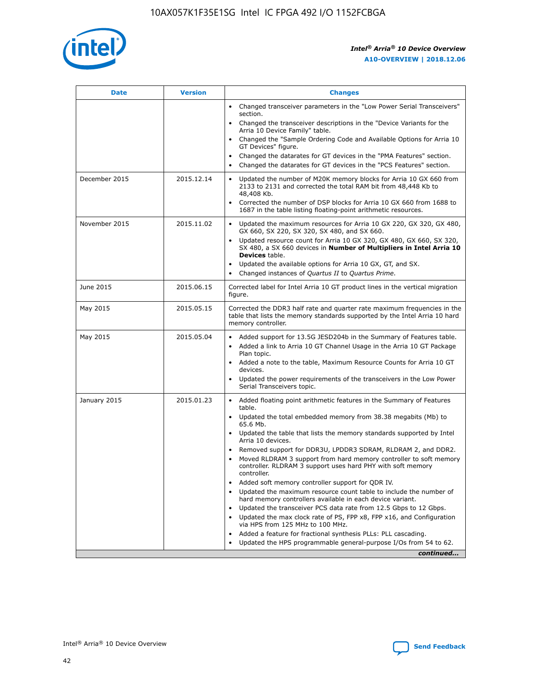

| <b>Date</b>   | <b>Version</b> | <b>Changes</b>                                                                                                                                                               |
|---------------|----------------|------------------------------------------------------------------------------------------------------------------------------------------------------------------------------|
|               |                | • Changed transceiver parameters in the "Low Power Serial Transceivers"<br>section.                                                                                          |
|               |                | • Changed the transceiver descriptions in the "Device Variants for the<br>Arria 10 Device Family" table.                                                                     |
|               |                | Changed the "Sample Ordering Code and Available Options for Arria 10<br>$\bullet$<br>GT Devices" figure.                                                                     |
|               |                | Changed the datarates for GT devices in the "PMA Features" section.                                                                                                          |
|               |                | Changed the datarates for GT devices in the "PCS Features" section.<br>$\bullet$                                                                                             |
| December 2015 | 2015.12.14     | Updated the number of M20K memory blocks for Arria 10 GX 660 from<br>2133 to 2131 and corrected the total RAM bit from 48,448 Kb to<br>48,408 Kb.                            |
|               |                | Corrected the number of DSP blocks for Arria 10 GX 660 from 1688 to<br>1687 in the table listing floating-point arithmetic resources.                                        |
| November 2015 | 2015.11.02     | Updated the maximum resources for Arria 10 GX 220, GX 320, GX 480,<br>$\bullet$<br>GX 660, SX 220, SX 320, SX 480, and SX 660.                                               |
|               |                | • Updated resource count for Arria 10 GX 320, GX 480, GX 660, SX 320,<br>SX 480, a SX 660 devices in Number of Multipliers in Intel Arria 10<br><b>Devices</b> table.        |
|               |                | Updated the available options for Arria 10 GX, GT, and SX.                                                                                                                   |
|               |                | Changed instances of Quartus II to Quartus Prime.<br>$\bullet$                                                                                                               |
| June 2015     | 2015.06.15     | Corrected label for Intel Arria 10 GT product lines in the vertical migration<br>figure.                                                                                     |
| May 2015      | 2015.05.15     | Corrected the DDR3 half rate and quarter rate maximum frequencies in the<br>table that lists the memory standards supported by the Intel Arria 10 hard<br>memory controller. |
| May 2015      | 2015.05.04     | • Added support for 13.5G JESD204b in the Summary of Features table.                                                                                                         |
|               |                | • Added a link to Arria 10 GT Channel Usage in the Arria 10 GT Package<br>Plan topic.                                                                                        |
|               |                | • Added a note to the table, Maximum Resource Counts for Arria 10 GT<br>devices.                                                                                             |
|               |                | • Updated the power requirements of the transceivers in the Low Power<br>Serial Transceivers topic.                                                                          |
| January 2015  | 2015.01.23     | • Added floating point arithmetic features in the Summary of Features<br>table.                                                                                              |
|               |                | • Updated the total embedded memory from 38.38 megabits (Mb) to<br>65.6 Mb.                                                                                                  |
|               |                | • Updated the table that lists the memory standards supported by Intel<br>Arria 10 devices.                                                                                  |
|               |                | Removed support for DDR3U, LPDDR3 SDRAM, RLDRAM 2, and DDR2.                                                                                                                 |
|               |                | Moved RLDRAM 3 support from hard memory controller to soft memory<br>controller. RLDRAM 3 support uses hard PHY with soft memory<br>controller.                              |
|               |                | Added soft memory controller support for QDR IV.<br>٠                                                                                                                        |
|               |                | Updated the maximum resource count table to include the number of<br>hard memory controllers available in each device variant.                                               |
|               |                | Updated the transceiver PCS data rate from 12.5 Gbps to 12 Gbps.<br>$\bullet$                                                                                                |
|               |                | Updated the max clock rate of PS, FPP x8, FPP x16, and Configuration<br>via HPS from 125 MHz to 100 MHz.                                                                     |
|               |                | Added a feature for fractional synthesis PLLs: PLL cascading.                                                                                                                |
|               |                | Updated the HPS programmable general-purpose I/Os from 54 to 62.<br>$\bullet$                                                                                                |
|               |                | continued                                                                                                                                                                    |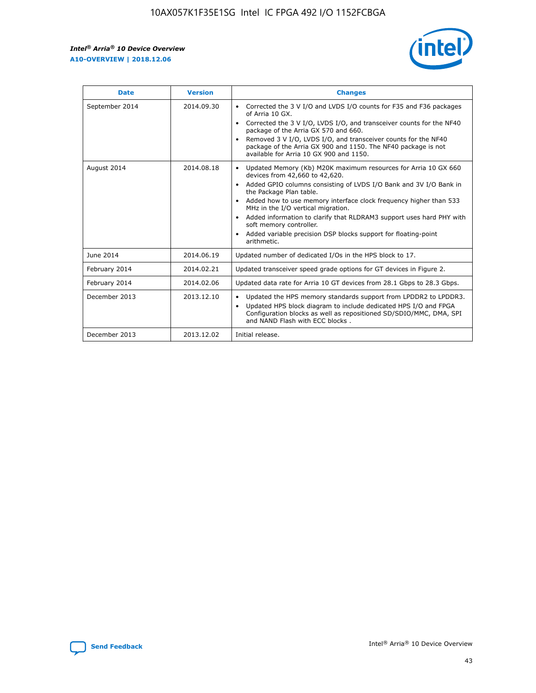

| <b>Date</b>    | <b>Version</b> | <b>Changes</b>                                                                                                                                                                                                                                                                                                                                                                                                                                                                                                                                      |
|----------------|----------------|-----------------------------------------------------------------------------------------------------------------------------------------------------------------------------------------------------------------------------------------------------------------------------------------------------------------------------------------------------------------------------------------------------------------------------------------------------------------------------------------------------------------------------------------------------|
| September 2014 | 2014.09.30     | Corrected the 3 V I/O and LVDS I/O counts for F35 and F36 packages<br>$\bullet$<br>of Arria 10 GX.<br>Corrected the 3 V I/O, LVDS I/O, and transceiver counts for the NF40<br>$\bullet$<br>package of the Arria GX 570 and 660.<br>Removed 3 V I/O, LVDS I/O, and transceiver counts for the NF40<br>$\bullet$<br>package of the Arria GX 900 and 1150. The NF40 package is not<br>available for Arria 10 GX 900 and 1150.                                                                                                                          |
| August 2014    | 2014.08.18     | Updated Memory (Kb) M20K maximum resources for Arria 10 GX 660<br>devices from 42,660 to 42,620.<br>Added GPIO columns consisting of LVDS I/O Bank and 3V I/O Bank in<br>$\bullet$<br>the Package Plan table.<br>Added how to use memory interface clock frequency higher than 533<br>$\bullet$<br>MHz in the I/O vertical migration.<br>Added information to clarify that RLDRAM3 support uses hard PHY with<br>$\bullet$<br>soft memory controller.<br>Added variable precision DSP blocks support for floating-point<br>$\bullet$<br>arithmetic. |
| June 2014      | 2014.06.19     | Updated number of dedicated I/Os in the HPS block to 17.                                                                                                                                                                                                                                                                                                                                                                                                                                                                                            |
| February 2014  | 2014.02.21     | Updated transceiver speed grade options for GT devices in Figure 2.                                                                                                                                                                                                                                                                                                                                                                                                                                                                                 |
| February 2014  | 2014.02.06     | Updated data rate for Arria 10 GT devices from 28.1 Gbps to 28.3 Gbps.                                                                                                                                                                                                                                                                                                                                                                                                                                                                              |
| December 2013  | 2013.12.10     | Updated the HPS memory standards support from LPDDR2 to LPDDR3.<br>Updated HPS block diagram to include dedicated HPS I/O and FPGA<br>$\bullet$<br>Configuration blocks as well as repositioned SD/SDIO/MMC, DMA, SPI<br>and NAND Flash with ECC blocks.                                                                                                                                                                                                                                                                                            |
| December 2013  | 2013.12.02     | Initial release.                                                                                                                                                                                                                                                                                                                                                                                                                                                                                                                                    |